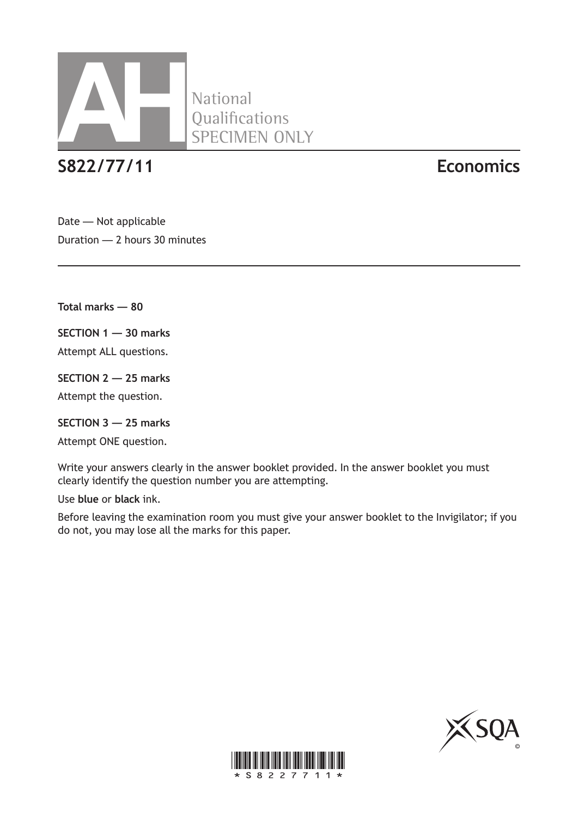

**S822/77/11 Economics**

Date — Not applicable Duration — 2 hours 30 minutes

**Total marks — 80**

**SECTION 1 — 30 marks**

Attempt ALL questions.

**SECTION 2 — 25 marks** Attempt the question.

**SECTION 3 — 25 marks**

Attempt ONE question.

Write your answers clearly in the answer booklet provided. In the answer booklet you must clearly identify the question number you are attempting.

Use **blue** or **black** ink.

Before leaving the examination room you must give your answer booklet to the Invigilator; if you do not, you may lose all the marks for this paper.



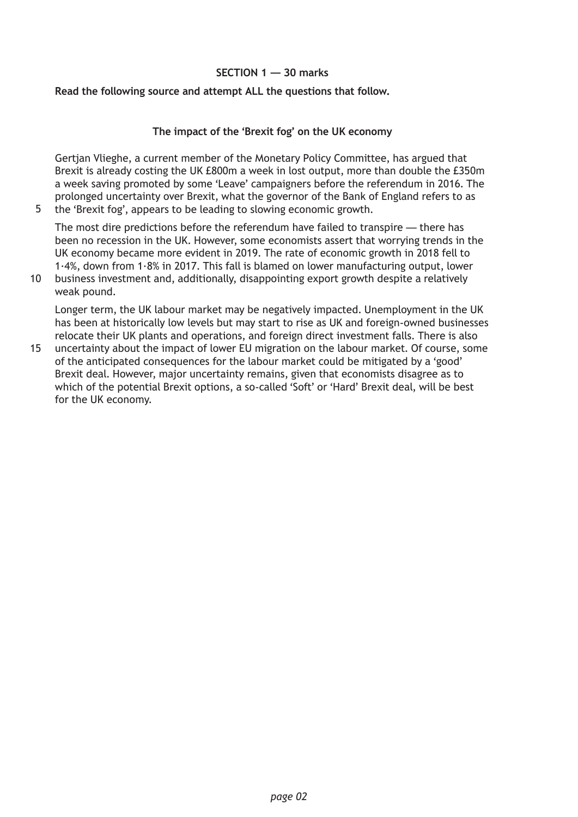### **SECTION 1 — 30 marks**

### **Read the following source and attempt ALL the questions that follow.**

5

### **The impact of the 'Brexit fog' on the UK economy**

Gertjan Vlieghe, a current member of the Monetary Policy Committee, has argued that Brexit is already costing the UK £800m a week in lost output, more than double the £350m a week saving promoted by some 'Leave' campaigners before the referendum in 2016. The prolonged uncertainty over Brexit, what the governor of the Bank of England refers to as the 'Brexit fog', appears to be leading to slowing economic growth.

The most dire predictions before the referendum have failed to transpire — there has been no recession in the UK. However, some economists assert that worrying trends in the UK economy became more evident in 2019. The rate of economic growth in 2018 fell to 1·4%, down from 1·8% in 2017. This fall is blamed on lower manufacturing output, lower

10 business investment and, additionally, disappointing export growth despite a relatively weak pound.

Longer term, the UK labour market may be negatively impacted. Unemployment in the UK has been at historically low levels but may start to rise as UK and foreign-owned businesses relocate their UK plants and operations, and foreign direct investment falls. There is also

uncertainty about the impact of lower EU migration on the labour market. Of course, some of the anticipated consequences for the labour market could be mitigated by a 'good' Brexit deal. However, major uncertainty remains, given that economists disagree as to which of the potential Brexit options, a so-called 'Soft' or 'Hard' Brexit deal, will be best for the UK economy. 15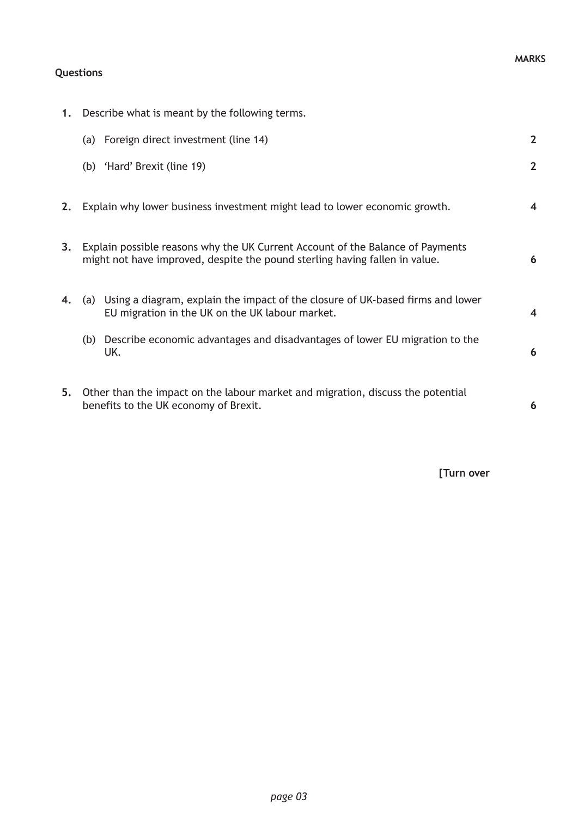## **Questions**

**1.** Describe what is meant by the following terms.

|    | (a) Foreign direct investment (line 14)                                                                                                                       | $\overline{2}$ |
|----|---------------------------------------------------------------------------------------------------------------------------------------------------------------|----------------|
|    | (b) 'Hard' Brexit (line 19)                                                                                                                                   | $\overline{2}$ |
| 2. | Explain why lower business investment might lead to lower economic growth.                                                                                    | 4              |
| 3. | Explain possible reasons why the UK Current Account of the Balance of Payments<br>might not have improved, despite the pound sterling having fallen in value. | 6              |
| 4. | (a) Using a diagram, explain the impact of the closure of UK-based firms and lower<br>EU migration in the UK on the UK labour market.                         | 4              |
|    | (b) Describe economic advantages and disadvantages of lower EU migration to the<br>UK.                                                                        | 6              |
| 5. | Other than the impact on the labour market and migration, discuss the potential<br>benefits to the UK economy of Brexit.                                      | 6              |

**[Turn over**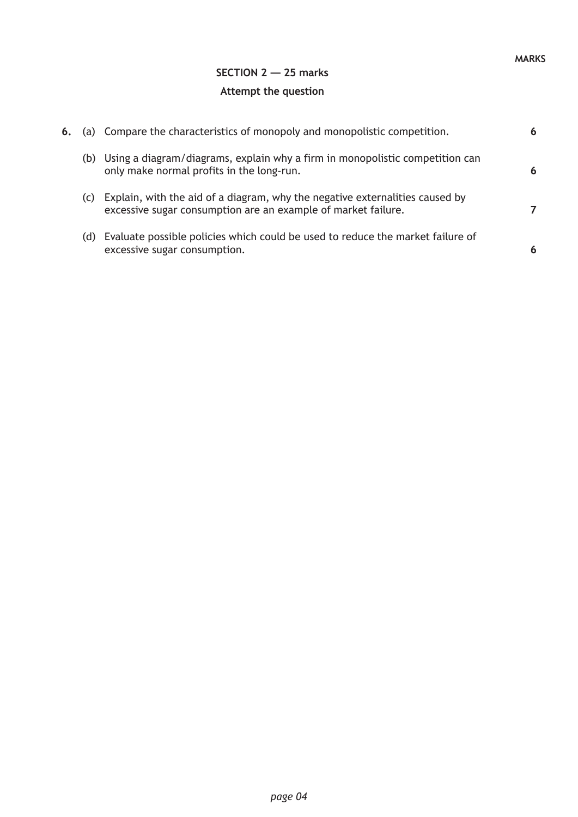## **SECTION 2 — 25 marks Attempt the question**

| 6. |     | (a) Compare the characteristics of monopoly and monopolistic competition.                                                                     | 6 |
|----|-----|-----------------------------------------------------------------------------------------------------------------------------------------------|---|
|    | (b) | Using a diagram/diagrams, explain why a firm in monopolistic competition can<br>only make normal profits in the long-run.                     | 6 |
|    | (C) | Explain, with the aid of a diagram, why the negative externalities caused by<br>excessive sugar consumption are an example of market failure. |   |
|    | (d) | Evaluate possible policies which could be used to reduce the market failure of<br>excessive sugar consumption.                                | 6 |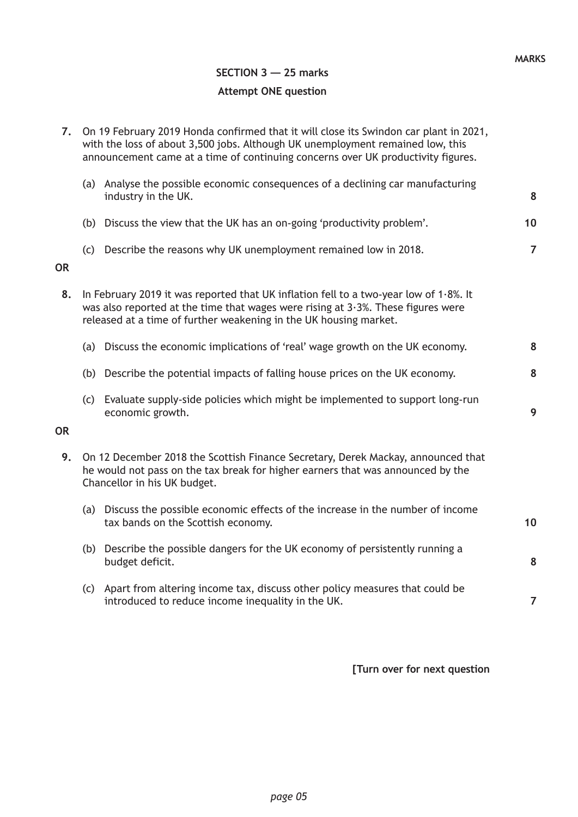# **SECTION 3 — 25 marks Attempt ONE question**

| 7.        | On 19 February 2019 Honda confirmed that it will close its Swindon car plant in 2021,<br>with the loss of about 3,500 jobs. Although UK unemployment remained low, this<br>announcement came at a time of continuing concerns over UK productivity figures. |                |
|-----------|-------------------------------------------------------------------------------------------------------------------------------------------------------------------------------------------------------------------------------------------------------------|----------------|
|           | (a) Analyse the possible economic consequences of a declining car manufacturing<br>industry in the UK.                                                                                                                                                      | 8              |
|           | (b) Discuss the view that the UK has an on-going 'productivity problem'.                                                                                                                                                                                    | 10             |
| <b>OR</b> | (c) Describe the reasons why UK unemployment remained low in 2018.                                                                                                                                                                                          | $\overline{7}$ |
| 8.        | In February 2019 it was reported that UK inflation fell to a two-year low of 1.8%. It<br>was also reported at the time that wages were rising at $3.3\%$ . These figures were<br>released at a time of further weakening in the UK housing market.          |                |
|           | (a) Discuss the economic implications of 'real' wage growth on the UK economy.                                                                                                                                                                              | 8              |
|           | (b) Describe the potential impacts of falling house prices on the UK economy.                                                                                                                                                                               | 8              |
|           | (c) Evaluate supply-side policies which might be implemented to support long-run<br>economic growth.                                                                                                                                                        | 9              |
| <b>OR</b> |                                                                                                                                                                                                                                                             |                |
| 9.        | On 12 December 2018 the Scottish Finance Secretary, Derek Mackay, announced that<br>he would not pass on the tax break for higher earners that was announced by the<br>Chancellor in his UK budget.                                                         |                |
|           | (a) Discuss the possible economic effects of the increase in the number of income<br>tax bands on the Scottish economy.                                                                                                                                     | 10             |
|           | (b) Describe the possible dangers for the UK economy of persistently running a<br>budget deficit.                                                                                                                                                           | 8              |
|           | (c) Apart from altering income tax, discuss other policy measures that could be<br>introduced to reduce income inequality in the UK.                                                                                                                        | $\overline{7}$ |
|           |                                                                                                                                                                                                                                                             |                |

**[Turn over for next question**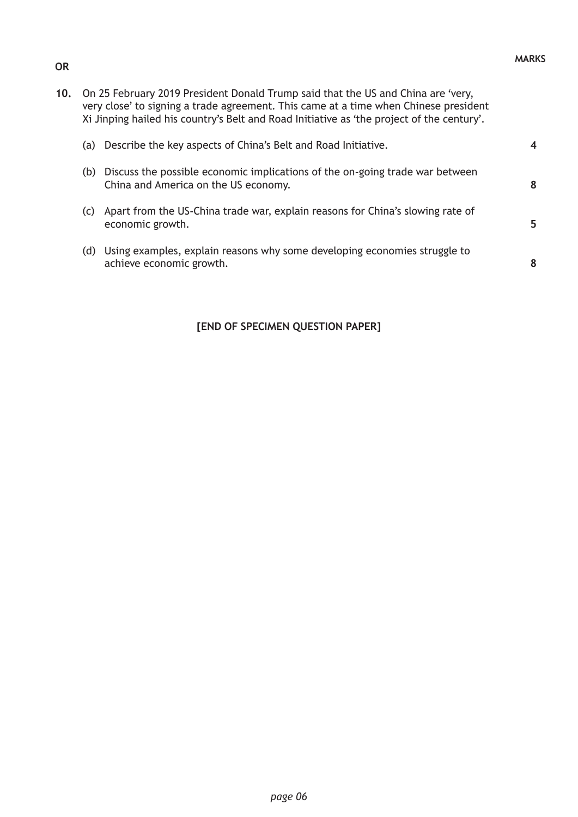**4**

**8**

**5**

**8**

| (b) Discuss the possible economic implications of the on-going trade war between |
|----------------------------------------------------------------------------------|
| China and America on the US economy.                                             |

- (c) Apart from the US-China trade war, explain reasons for China's slowing rate of economic growth.
- (d) Using examples, explain reasons why some developing economies struggle to achieve economic growth.

### **[END OF SPECIMEN QUESTION PAPER]**

#### **OR**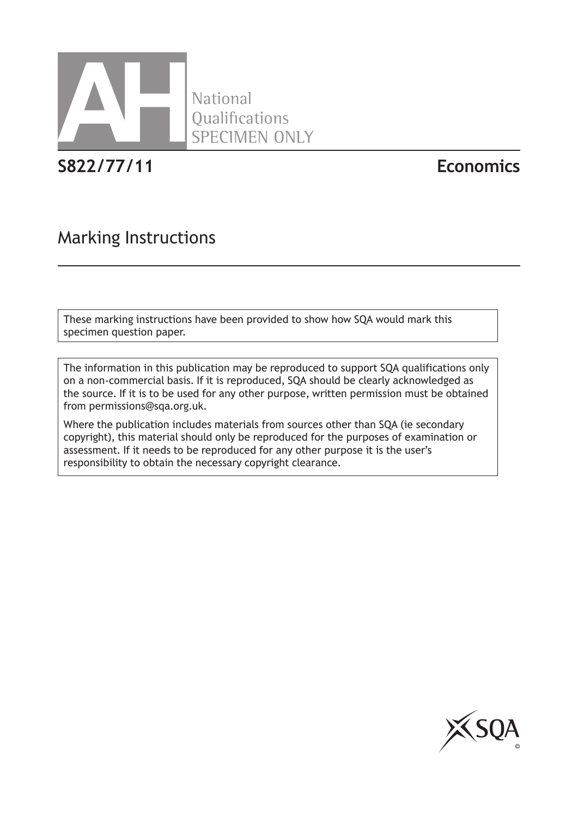

**S822/77/11 Economics**

# Marking Instructions

These marking instructions have been provided to show how SQA would mark this specimen question paper.

National

**Qualifications** 

SPECIMEN ONLY

The information in this publication may be reproduced to support SQA qualifications only on a non-commercial basis. If it is reproduced, SQA should be clearly acknowledged as the source. If it is to be used for any other purpose, written permission must be obtained from permissions@sqa.org.uk.

Where the publication includes materials from sources other than SQA (ie secondary copyright), this material should only be reproduced for the purposes of examination or assessment. If it needs to be reproduced for any other purpose it is the user's responsibility to obtain the necessary copyright clearance.

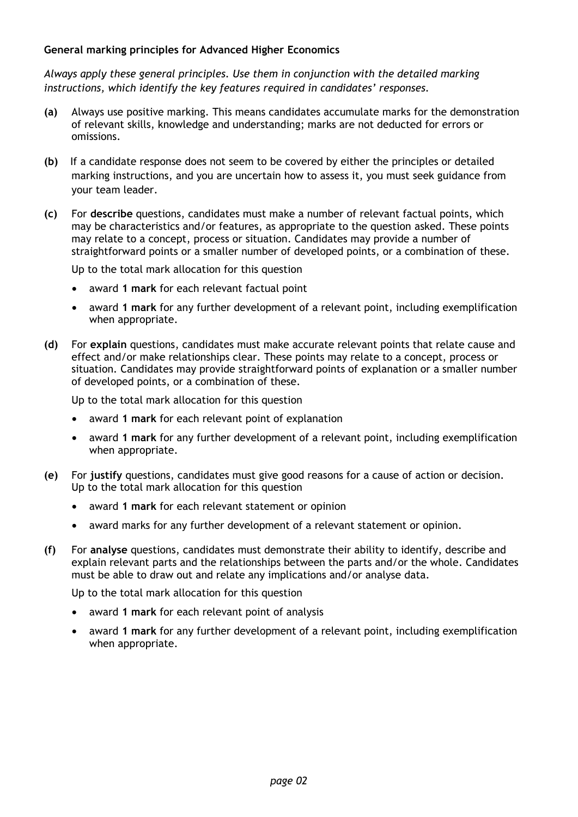### **General marking principles for Advanced Higher Economics**

*Always apply these general principles. Use them in conjunction with the detailed marking instructions, which identify the key features required in candidates' responses.* 

- **(a)** Always use positive marking. This means candidates accumulate marks for the demonstration of relevant skills, knowledge and understanding; marks are not deducted for errors or omissions.
- **(b)** If a candidate response does not seem to be covered by either the principles or detailed marking instructions, and you are uncertain how to assess it, you must seek guidance from your team leader.
- **(c)** For **describe** questions, candidates must make a number of relevant factual points, which may be characteristics and/or features, as appropriate to the question asked. These points may relate to a concept, process or situation. Candidates may provide a number of straightforward points or a smaller number of developed points, or a combination of these.

Up to the total mark allocation for this question

- award **1 mark** for each relevant factual point
- award **1 mark** for any further development of a relevant point, including exemplification when appropriate.
- **(d)** For **explain** questions, candidates must make accurate relevant points that relate cause and effect and/or make relationships clear. These points may relate to a concept, process or situation. Candidates may provide straightforward points of explanation or a smaller number of developed points, or a combination of these.

Up to the total mark allocation for this question

- award **1 mark** for each relevant point of explanation
- award **1 mark** for any further development of a relevant point, including exemplification when appropriate.
- **(e)** For **justify** questions, candidates must give good reasons for a cause of action or decision. Up to the total mark allocation for this question
	- award **1 mark** for each relevant statement or opinion
	- award marks for any further development of a relevant statement or opinion.
- **(f)** For **analyse** questions, candidates must demonstrate their ability to identify, describe and explain relevant parts and the relationships between the parts and/or the whole. Candidates must be able to draw out and relate any implications and/or analyse data.

Up to the total mark allocation for this question

- award **1 mark** for each relevant point of analysis
- award **1 mark** for any further development of a relevant point, including exemplification when appropriate.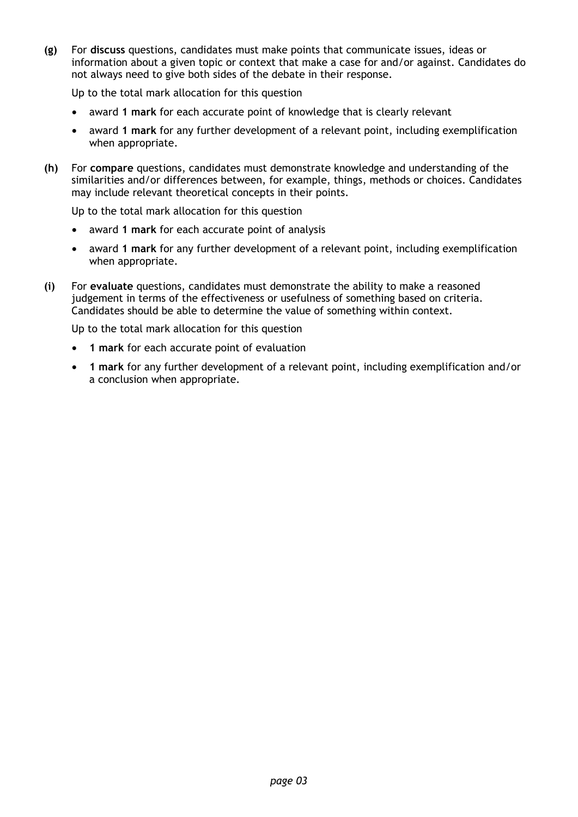**(g)** For **discuss** questions, candidates must make points that communicate issues, ideas or information about a given topic or context that make a case for and/or against. Candidates do not always need to give both sides of the debate in their response.

Up to the total mark allocation for this question

- award **1 mark** for each accurate point of knowledge that is clearly relevant
- award **1 mark** for any further development of a relevant point, including exemplification when appropriate.
- **(h)** For **compare** questions, candidates must demonstrate knowledge and understanding of the similarities and/or differences between, for example, things, methods or choices. Candidates may include relevant theoretical concepts in their points.

Up to the total mark allocation for this question

- award **1 mark** for each accurate point of analysis
- award **1 mark** for any further development of a relevant point, including exemplification when appropriate.
- **(i)** For **evaluate** questions, candidates must demonstrate the ability to make a reasoned judgement in terms of the effectiveness or usefulness of something based on criteria. Candidates should be able to determine the value of something within context.

Up to the total mark allocation for this question

- **1 mark** for each accurate point of evaluation
- **1 mark** for any further development of a relevant point, including exemplification and/or a conclusion when appropriate.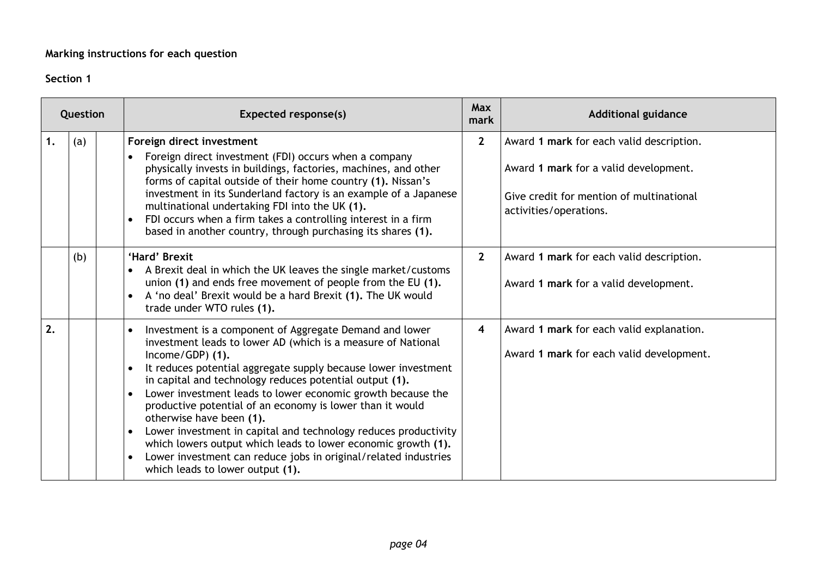### **Marking instructions for each question**

### **Section 1**

| Question |     | <b>Expected response(s)</b>                                                                                                                                                                                                                                                                                                                                                                                                                                                                                                                                                                                                                                                 | <b>Max</b><br>mark | <b>Additional guidance</b>                                                                                                                              |
|----------|-----|-----------------------------------------------------------------------------------------------------------------------------------------------------------------------------------------------------------------------------------------------------------------------------------------------------------------------------------------------------------------------------------------------------------------------------------------------------------------------------------------------------------------------------------------------------------------------------------------------------------------------------------------------------------------------------|--------------------|---------------------------------------------------------------------------------------------------------------------------------------------------------|
| 1.       | (a) | Foreign direct investment<br>Foreign direct investment (FDI) occurs when a company<br>$\bullet$<br>physically invests in buildings, factories, machines, and other<br>forms of capital outside of their home country (1). Nissan's<br>investment in its Sunderland factory is an example of a Japanese<br>multinational undertaking FDI into the UK (1).<br>FDI occurs when a firm takes a controlling interest in a firm<br>based in another country, through purchasing its shares (1).                                                                                                                                                                                   | $2^{\circ}$        | Award 1 mark for each valid description.<br>Award 1 mark for a valid development.<br>Give credit for mention of multinational<br>activities/operations. |
|          | (b) | 'Hard' Brexit<br>A Brexit deal in which the UK leaves the single market/customs<br>union (1) and ends free movement of people from the EU (1).<br>A 'no deal' Brexit would be a hard Brexit (1). The UK would<br>trade under WTO rules (1).                                                                                                                                                                                                                                                                                                                                                                                                                                 | $\overline{2}$     | Award 1 mark for each valid description.<br>Award 1 mark for a valid development.                                                                       |
| 2.       |     | Investment is a component of Aggregate Demand and lower<br>investment leads to lower AD (which is a measure of National<br>Income/GDP) (1).<br>It reduces potential aggregate supply because lower investment<br>in capital and technology reduces potential output (1).<br>Lower investment leads to lower economic growth because the<br>productive potential of an economy is lower than it would<br>otherwise have been (1).<br>Lower investment in capital and technology reduces productivity<br>which lowers output which leads to lower economic growth (1).<br>Lower investment can reduce jobs in original/related industries<br>which leads to lower output (1). | 4                  | Award 1 mark for each valid explanation.<br>Award 1 mark for each valid development.                                                                    |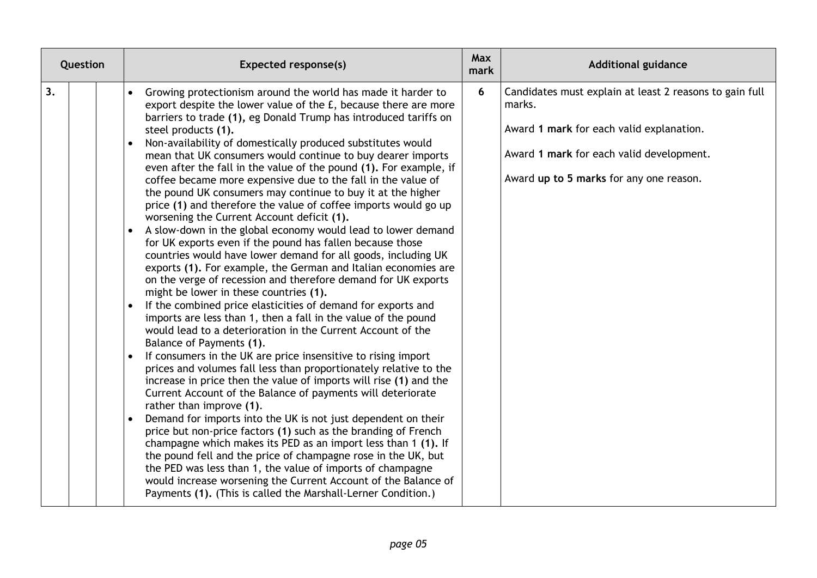| Question | <b>Expected response(s)</b>                                                                                                                                                                                                                                                                                                                                                                                                                                                                                                                                                                                                                                                                                                                                                                                                                                                                                                                                                                                                                                                                                                                                                                                                                                                                                                                                                                                                                                                                                                                                                                                                                                                                                                                                                                                                                                                                                                                                                                                                                                                                                | <b>Max</b><br>mark | <b>Additional guidance</b>                                                                                                                                                                           |
|----------|------------------------------------------------------------------------------------------------------------------------------------------------------------------------------------------------------------------------------------------------------------------------------------------------------------------------------------------------------------------------------------------------------------------------------------------------------------------------------------------------------------------------------------------------------------------------------------------------------------------------------------------------------------------------------------------------------------------------------------------------------------------------------------------------------------------------------------------------------------------------------------------------------------------------------------------------------------------------------------------------------------------------------------------------------------------------------------------------------------------------------------------------------------------------------------------------------------------------------------------------------------------------------------------------------------------------------------------------------------------------------------------------------------------------------------------------------------------------------------------------------------------------------------------------------------------------------------------------------------------------------------------------------------------------------------------------------------------------------------------------------------------------------------------------------------------------------------------------------------------------------------------------------------------------------------------------------------------------------------------------------------------------------------------------------------------------------------------------------------|--------------------|------------------------------------------------------------------------------------------------------------------------------------------------------------------------------------------------------|
| 3.       | Growing protectionism around the world has made it harder to<br>$\bullet$<br>export despite the lower value of the £, because there are more<br>barriers to trade (1), eg Donald Trump has introduced tariffs on<br>steel products (1).<br>Non-availability of domestically produced substitutes would<br>$\bullet$<br>mean that UK consumers would continue to buy dearer imports<br>even after the fall in the value of the pound (1). For example, if<br>coffee became more expensive due to the fall in the value of<br>the pound UK consumers may continue to buy it at the higher<br>price (1) and therefore the value of coffee imports would go up<br>worsening the Current Account deficit (1).<br>A slow-down in the global economy would lead to lower demand<br>for UK exports even if the pound has fallen because those<br>countries would have lower demand for all goods, including UK<br>exports (1). For example, the German and Italian economies are<br>on the verge of recession and therefore demand for UK exports<br>might be lower in these countries (1).<br>If the combined price elasticities of demand for exports and<br>imports are less than 1, then a fall in the value of the pound<br>would lead to a deterioration in the Current Account of the<br>Balance of Payments (1).<br>If consumers in the UK are price insensitive to rising import<br>$\bullet$<br>prices and volumes fall less than proportionately relative to the<br>increase in price then the value of imports will rise (1) and the<br>Current Account of the Balance of payments will deteriorate<br>rather than improve (1).<br>Demand for imports into the UK is not just dependent on their<br>price but non-price factors (1) such as the branding of French<br>champagne which makes its PED as an import less than 1 (1). If<br>the pound fell and the price of champagne rose in the UK, but<br>the PED was less than 1, the value of imports of champagne<br>would increase worsening the Current Account of the Balance of<br>Payments (1). (This is called the Marshall-Lerner Condition.) | 6                  | Candidates must explain at least 2 reasons to gain full<br>marks.<br>Award 1 mark for each valid explanation.<br>Award 1 mark for each valid development.<br>Award up to 5 marks for any one reason. |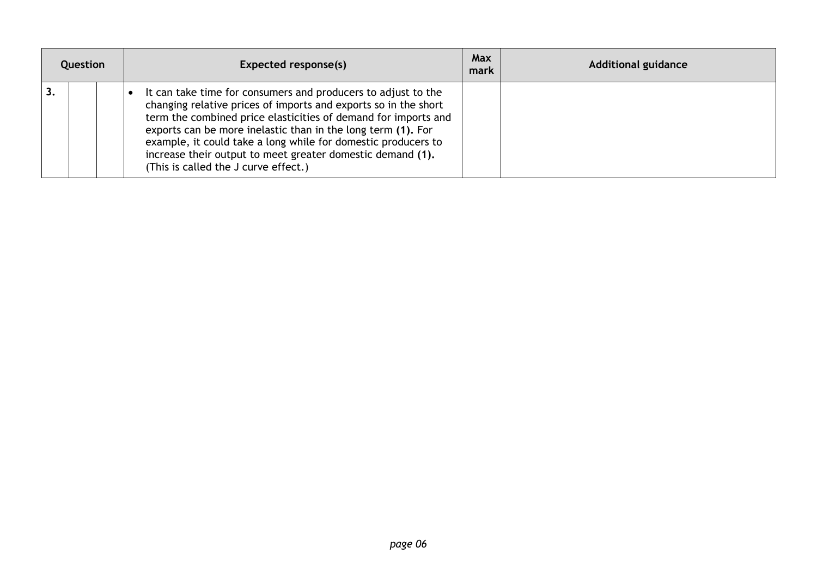| Question |  | Expected response(s)                                                                                                                                                                                                                                                                                                                                                                                                                      | Max<br>mark | <b>Additional guidance</b> |
|----------|--|-------------------------------------------------------------------------------------------------------------------------------------------------------------------------------------------------------------------------------------------------------------------------------------------------------------------------------------------------------------------------------------------------------------------------------------------|-------------|----------------------------|
|          |  | It can take time for consumers and producers to adjust to the<br>changing relative prices of imports and exports so in the short<br>term the combined price elasticities of demand for imports and<br>exports can be more inelastic than in the long term (1). For<br>example, it could take a long while for domestic producers to<br>increase their output to meet greater domestic demand (1).<br>(This is called the J curve effect.) |             |                            |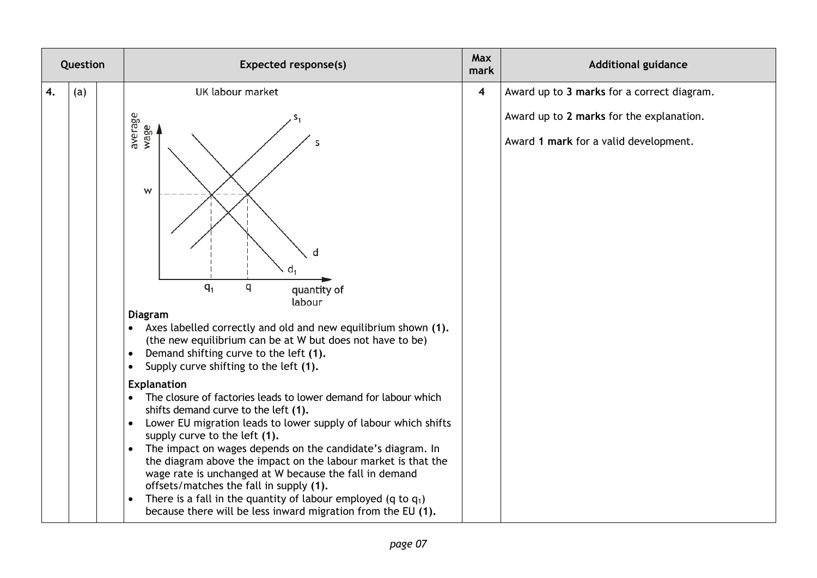| Question |     | <b>Expected response(s)</b>                                                                                                                                                                                                                                                                                                                                                                                                                                                                                                                                                                                                                                                                                                                                                                                                                                                                                                                                                              | Max<br>mark             | <b>Additional guidance</b>                                                        |
|----------|-----|------------------------------------------------------------------------------------------------------------------------------------------------------------------------------------------------------------------------------------------------------------------------------------------------------------------------------------------------------------------------------------------------------------------------------------------------------------------------------------------------------------------------------------------------------------------------------------------------------------------------------------------------------------------------------------------------------------------------------------------------------------------------------------------------------------------------------------------------------------------------------------------------------------------------------------------------------------------------------------------|-------------------------|-----------------------------------------------------------------------------------|
| 4.       | (a) | <b>UK labour market</b>                                                                                                                                                                                                                                                                                                                                                                                                                                                                                                                                                                                                                                                                                                                                                                                                                                                                                                                                                                  | $\overline{\mathbf{4}}$ | Award up to 3 marks for a correct diagram.                                        |
|          |     | average<br>wage<br>S<br>W<br>d<br>$q_1$<br>q<br>quantity of<br>labour<br><b>Diagram</b><br>Axes labelled correctly and old and new equilibrium shown (1).<br>(the new equilibrium can be at W but does not have to be)<br>Demand shifting curve to the left (1).<br>$\bullet$<br>Supply curve shifting to the left (1).<br>$\bullet$<br><b>Explanation</b><br>The closure of factories leads to lower demand for labour which<br>shifts demand curve to the left (1).<br>Lower EU migration leads to lower supply of labour which shifts<br>$\bullet$<br>supply curve to the left (1).<br>The impact on wages depends on the candidate's diagram. In<br>$\bullet$<br>the diagram above the impact on the labour market is that the<br>wage rate is unchanged at W because the fall in demand<br>offsets/matches the fall in supply (1).<br>There is a fall in the quantity of labour employed (q to $q_1$ )<br>$\bullet$<br>because there will be less inward migration from the EU (1). |                         | Award up to 2 marks for the explanation.<br>Award 1 mark for a valid development. |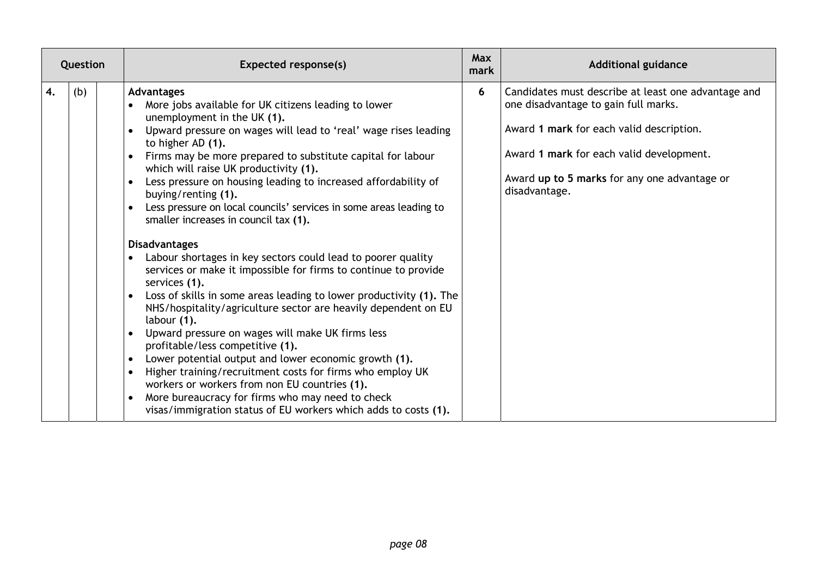| Question |     | <b>Expected response(s)</b>                                                                                                                                                                                                                                                                                                                                                                                                                                                                                                                                                                                                                                                                                                                                                                                                                                                                                                                                                                                                                                                                                                                                                                                                                | Max<br>mark | <b>Additional guidance</b>                                                                                                                                                                                                                           |  |
|----------|-----|--------------------------------------------------------------------------------------------------------------------------------------------------------------------------------------------------------------------------------------------------------------------------------------------------------------------------------------------------------------------------------------------------------------------------------------------------------------------------------------------------------------------------------------------------------------------------------------------------------------------------------------------------------------------------------------------------------------------------------------------------------------------------------------------------------------------------------------------------------------------------------------------------------------------------------------------------------------------------------------------------------------------------------------------------------------------------------------------------------------------------------------------------------------------------------------------------------------------------------------------|-------------|------------------------------------------------------------------------------------------------------------------------------------------------------------------------------------------------------------------------------------------------------|--|
| 4.       | (b) | <b>Advantages</b><br>More jobs available for UK citizens leading to lower<br>unemployment in the UK (1).<br>Upward pressure on wages will lead to 'real' wage rises leading<br>to higher AD (1).<br>Firms may be more prepared to substitute capital for labour<br>which will raise UK productivity (1).<br>Less pressure on housing leading to increased affordability of<br>buying/renting (1).<br>Less pressure on local councils' services in some areas leading to<br>smaller increases in council tax (1).<br><b>Disadvantages</b><br>Labour shortages in key sectors could lead to poorer quality<br>services or make it impossible for firms to continue to provide<br>services (1).<br>Loss of skills in some areas leading to lower productivity (1). The<br>NHS/hospitality/agriculture sector are heavily dependent on EU<br>labour (1).<br>Upward pressure on wages will make UK firms less<br>profitable/less competitive (1).<br>Lower potential output and lower economic growth (1).<br>Higher training/recruitment costs for firms who employ UK<br>workers or workers from non EU countries (1).<br>More bureaucracy for firms who may need to check<br>visas/immigration status of EU workers which adds to costs (1). | 6           | Candidates must describe at least one advantage and<br>one disadvantage to gain full marks.<br>Award 1 mark for each valid description.<br>Award 1 mark for each valid development.<br>Award up to 5 marks for any one advantage or<br>disadvantage. |  |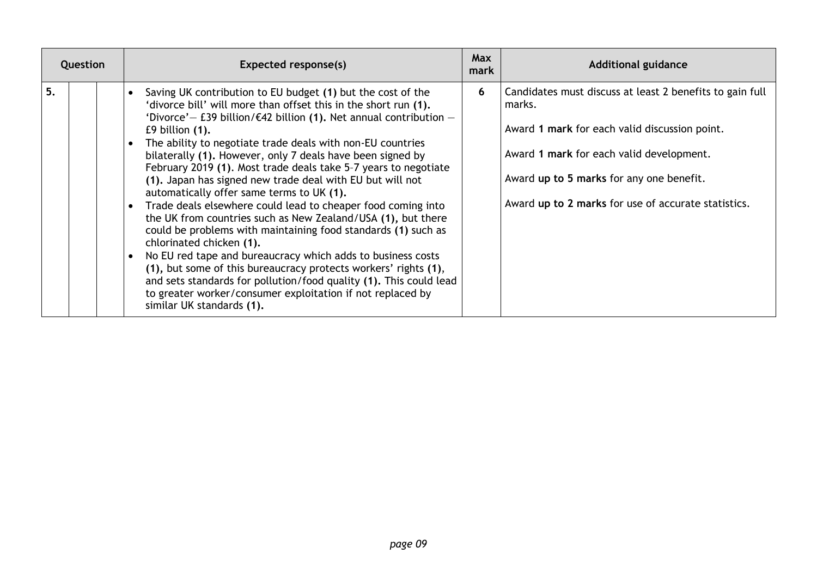| Question | Expected response(s)                                                                                                                                                                                                                                                                                                                                                                                                                                                                                                                                                                                                                                                                                                                                                                                                                                                                                                                                                                                                                                                             | <b>Max</b><br>mark | <b>Additional guidance</b>                                                                                                                                                                                                                                         |
|----------|----------------------------------------------------------------------------------------------------------------------------------------------------------------------------------------------------------------------------------------------------------------------------------------------------------------------------------------------------------------------------------------------------------------------------------------------------------------------------------------------------------------------------------------------------------------------------------------------------------------------------------------------------------------------------------------------------------------------------------------------------------------------------------------------------------------------------------------------------------------------------------------------------------------------------------------------------------------------------------------------------------------------------------------------------------------------------------|--------------------|--------------------------------------------------------------------------------------------------------------------------------------------------------------------------------------------------------------------------------------------------------------------|
| 5.       | Saving UK contribution to EU budget (1) but the cost of the<br>'divorce bill' will more than offset this in the short run (1).<br>'Divorce' - £39 billion/ $\epsilon$ 42 billion (1). Net annual contribution -<br>$E9$ billion $(1)$ .<br>The ability to negotiate trade deals with non-EU countries<br>bilaterally (1). However, only 7 deals have been signed by<br>February 2019 (1). Most trade deals take 5-7 years to negotiate<br>(1). Japan has signed new trade deal with EU but will not<br>automatically offer same terms to UK (1).<br>Trade deals elsewhere could lead to cheaper food coming into<br>the UK from countries such as New Zealand/USA (1), but there<br>could be problems with maintaining food standards (1) such as<br>chlorinated chicken (1).<br>No EU red tape and bureaucracy which adds to business costs<br>(1), but some of this bureaucracy protects workers' rights (1),<br>and sets standards for pollution/food quality (1). This could lead<br>to greater worker/consumer exploitation if not replaced by<br>similar UK standards (1). | 6                  | Candidates must discuss at least 2 benefits to gain full<br>marks.<br>Award 1 mark for each valid discussion point.<br>Award 1 mark for each valid development.<br>Award up to 5 marks for any one benefit.<br>Award up to 2 marks for use of accurate statistics. |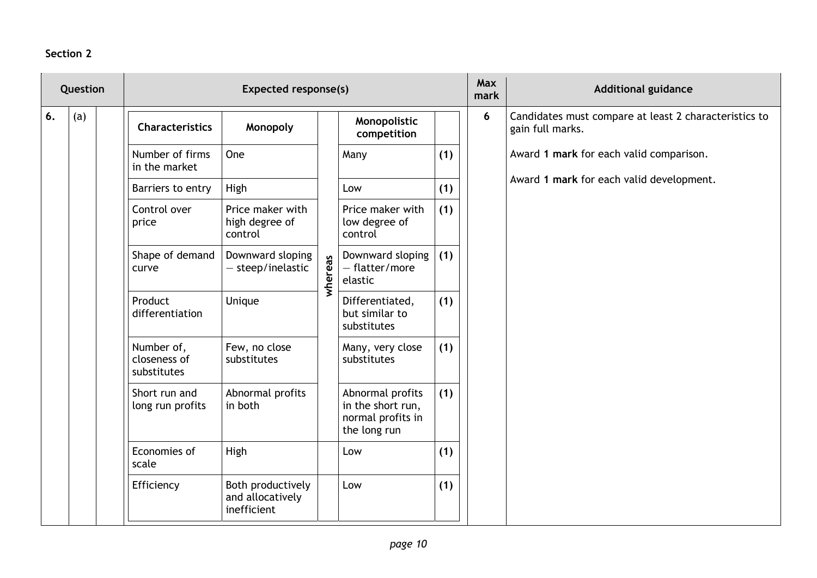### **Section 2**

| Question |     | <b>Expected response(s)</b>               |                                                      |         |                                                                            |     | Max<br>mark | <b>Additional guidance</b>                                                |
|----------|-----|-------------------------------------------|------------------------------------------------------|---------|----------------------------------------------------------------------------|-----|-------------|---------------------------------------------------------------------------|
| 6.       | (a) | <b>Characteristics</b>                    | Monopoly                                             |         | Monopolistic<br>competition                                                |     | 6           | Candidates must compare at least 2 characteristics to<br>gain full marks. |
|          |     | Number of firms<br>in the market          | One                                                  |         | Many                                                                       | (1) |             | Award 1 mark for each valid comparison.                                   |
|          |     | Barriers to entry                         | High                                                 |         | Low                                                                        | (1) |             | Award 1 mark for each valid development.                                  |
|          |     | Control over<br>price                     | Price maker with<br>high degree of<br>control        | whereas | Price maker with<br>low degree of<br>control                               | (1) |             |                                                                           |
|          |     | Shape of demand<br>curve                  | Downward sloping<br>$-$ steep/inelastic              |         | Downward sloping<br>- flatter/more<br>elastic                              | (1) |             |                                                                           |
|          |     | Product<br>differentiation                | Unique                                               |         | Differentiated,<br>but similar to<br>substitutes                           | (1) |             |                                                                           |
|          |     | Number of,<br>closeness of<br>substitutes | Few, no close<br>substitutes                         |         | Many, very close<br>substitutes                                            | (1) |             |                                                                           |
|          |     | Short run and<br>long run profits         | Abnormal profits<br>in both                          |         | Abnormal profits<br>in the short run,<br>normal profits in<br>the long run | (1) |             |                                                                           |
|          |     | Economies of<br>scale                     | High                                                 |         | Low                                                                        | (1) |             |                                                                           |
|          |     | Efficiency                                | Both productively<br>and allocatively<br>inefficient |         | Low                                                                        | (1) |             |                                                                           |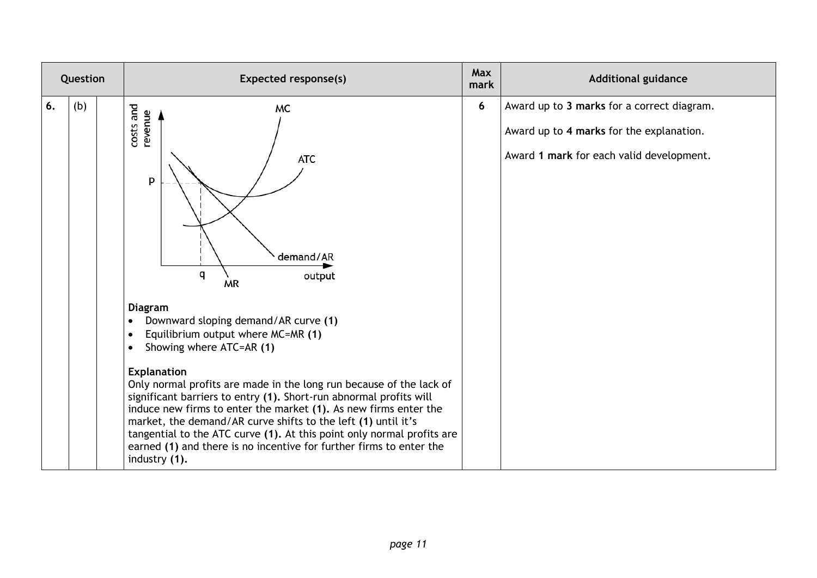| Question |     | <b>Expected response(s)</b>                                                                                                                                                                                                                                                                                                                                                                                                                                                                                                                                                                                                                                                                                                  | <b>Max</b><br>mark | <b>Additional guidance</b>                                                                                                         |
|----------|-----|------------------------------------------------------------------------------------------------------------------------------------------------------------------------------------------------------------------------------------------------------------------------------------------------------------------------------------------------------------------------------------------------------------------------------------------------------------------------------------------------------------------------------------------------------------------------------------------------------------------------------------------------------------------------------------------------------------------------------|--------------------|------------------------------------------------------------------------------------------------------------------------------------|
| 6.       | (b) | costs and<br>MC<br>revenue<br>ATC<br>p<br>demand/AR<br>q<br>output<br><b>MR</b><br><b>Diagram</b><br>Downward sloping demand/AR curve (1)<br>$\bullet$<br>Equilibrium output where MC=MR (1)<br>$\bullet$<br>Showing where ATC=AR (1)<br>$\bullet$<br><b>Explanation</b><br>Only normal profits are made in the long run because of the lack of<br>significant barriers to entry (1). Short-run abnormal profits will<br>induce new firms to enter the market (1). As new firms enter the<br>market, the demand/AR curve shifts to the left (1) until it's<br>tangential to the ATC curve (1). At this point only normal profits are<br>earned (1) and there is no incentive for further firms to enter the<br>industry (1). | 6                  | Award up to 3 marks for a correct diagram.<br>Award up to 4 marks for the explanation.<br>Award 1 mark for each valid development. |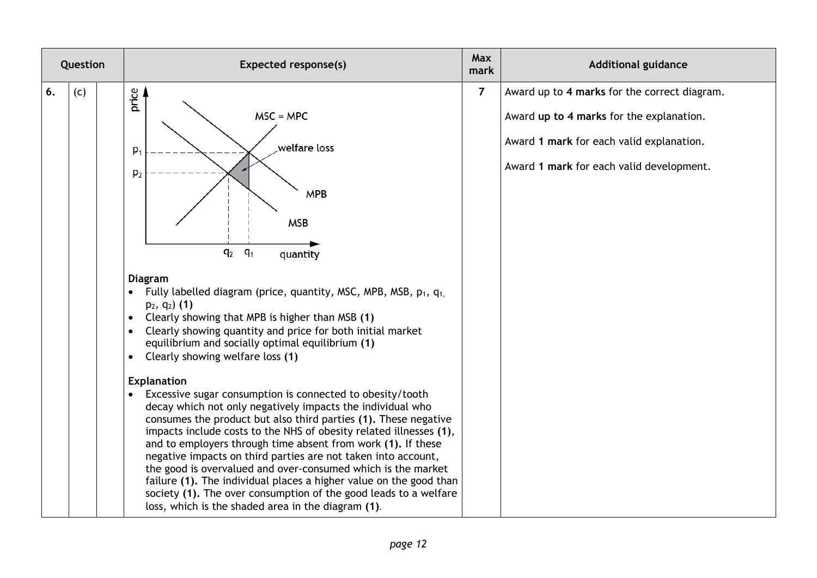| Question  | <b>Expected response(s)</b>                                                                                                                                                                                                                                                                                                                                                                                                                                                                                                                                                                                                                                                                                                                                                                                                                                                                                                                                                                                                                                                                                                                                                              | Max<br>mark    | <b>Additional guidance</b>                                                                                                                                                       |
|-----------|------------------------------------------------------------------------------------------------------------------------------------------------------------------------------------------------------------------------------------------------------------------------------------------------------------------------------------------------------------------------------------------------------------------------------------------------------------------------------------------------------------------------------------------------------------------------------------------------------------------------------------------------------------------------------------------------------------------------------------------------------------------------------------------------------------------------------------------------------------------------------------------------------------------------------------------------------------------------------------------------------------------------------------------------------------------------------------------------------------------------------------------------------------------------------------------|----------------|----------------------------------------------------------------------------------------------------------------------------------------------------------------------------------|
| 6.<br>(c) | price<br>$MSC = MPC$<br>welfare loss.<br>P <sub>1</sub><br>p <sub>2</sub><br><b>MPB</b><br><b>MSB</b><br>q <sub>2</sub><br>$q_1$<br>quantity<br><b>Diagram</b><br>Fully labelled diagram (price, quantity, MSC, MPB, MSB, $p_1$ , $q_1$<br>$p_2, q_2)$ (1)<br>Clearly showing that MPB is higher than MSB (1)<br>$\bullet$<br>Clearly showing quantity and price for both initial market<br>equilibrium and socially optimal equilibrium (1)<br>Clearly showing welfare loss (1)<br>$\bullet$<br><b>Explanation</b><br>Excessive sugar consumption is connected to obesity/tooth<br>decay which not only negatively impacts the individual who<br>consumes the product but also third parties (1). These negative<br>impacts include costs to the NHS of obesity related illnesses (1),<br>and to employers through time absent from work (1). If these<br>negative impacts on third parties are not taken into account,<br>the good is overvalued and over-consumed which is the market<br>failure (1). The individual places a higher value on the good than<br>society (1). The over consumption of the good leads to a welfare<br>loss, which is the shaded area in the diagram (1). | $\overline{7}$ | Award up to 4 marks for the correct diagram.<br>Award up to 4 marks for the explanation.<br>Award 1 mark for each valid explanation.<br>Award 1 mark for each valid development. |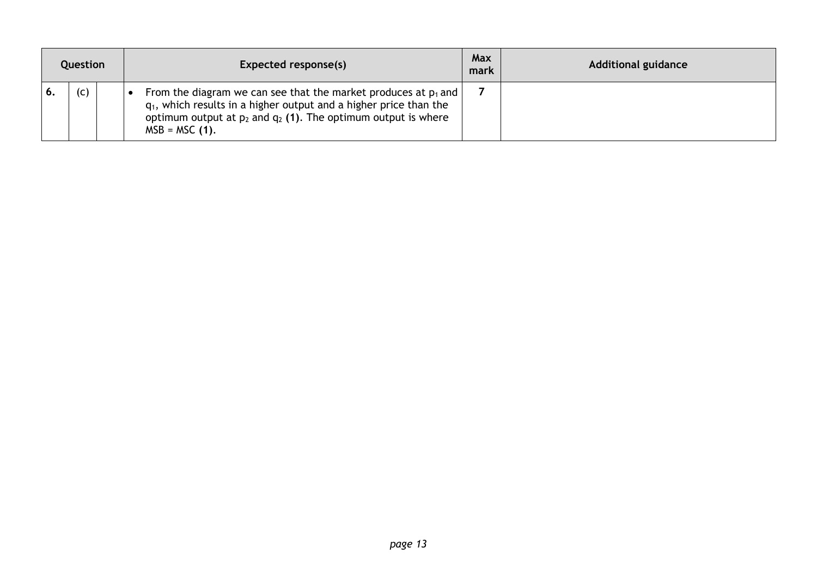| Question |  | Expected response(s)                                                                                                                                                                                                                  | Max<br>mark | <b>Additional guidance</b> |
|----------|--|---------------------------------------------------------------------------------------------------------------------------------------------------------------------------------------------------------------------------------------|-------------|----------------------------|
| (c)      |  | From the diagram we can see that the market produces at $p_1$ and  <br>$q_1$ , which results in a higher output and a higher price than the<br>optimum output at $p_2$ and $q_2$ (1). The optimum output is where<br>$MSB = MSC (1).$ |             |                            |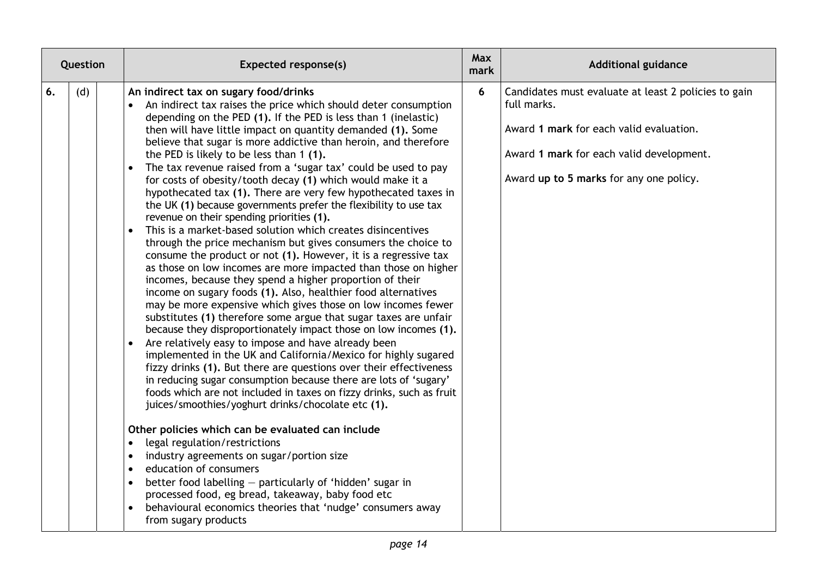| Question  | <b>Expected response(s)</b>                                                                                                                                                                                                                                                                                                                                                                                                                                                                                                                                                                                                                                                                                                                                                                                                                                                                                                                                                                                                                                                                                                                                                                                                                                                                                                                                                                                                                                                                                                                                                                                                                                                                                                                                                                                                                                                                                                                                                                                                                                                                                                                | <b>Max</b><br>mark | <b>Additional guidance</b>                                                                                                                                                                            |
|-----------|--------------------------------------------------------------------------------------------------------------------------------------------------------------------------------------------------------------------------------------------------------------------------------------------------------------------------------------------------------------------------------------------------------------------------------------------------------------------------------------------------------------------------------------------------------------------------------------------------------------------------------------------------------------------------------------------------------------------------------------------------------------------------------------------------------------------------------------------------------------------------------------------------------------------------------------------------------------------------------------------------------------------------------------------------------------------------------------------------------------------------------------------------------------------------------------------------------------------------------------------------------------------------------------------------------------------------------------------------------------------------------------------------------------------------------------------------------------------------------------------------------------------------------------------------------------------------------------------------------------------------------------------------------------------------------------------------------------------------------------------------------------------------------------------------------------------------------------------------------------------------------------------------------------------------------------------------------------------------------------------------------------------------------------------------------------------------------------------------------------------------------------------|--------------------|-------------------------------------------------------------------------------------------------------------------------------------------------------------------------------------------------------|
| (d)<br>6. | An indirect tax on sugary food/drinks<br>An indirect tax raises the price which should deter consumption<br>depending on the PED (1). If the PED is less than 1 (inelastic)<br>then will have little impact on quantity demanded (1). Some<br>believe that sugar is more addictive than heroin, and therefore<br>the PED is likely to be less than 1 (1).<br>The tax revenue raised from a 'sugar tax' could be used to pay<br>$\bullet$<br>for costs of obesity/tooth decay (1) which would make it a<br>hypothecated tax (1). There are very few hypothecated taxes in<br>the UK (1) because governments prefer the flexibility to use tax<br>revenue on their spending priorities (1).<br>This is a market-based solution which creates disincentives<br>$\bullet$<br>through the price mechanism but gives consumers the choice to<br>consume the product or not (1). However, it is a regressive tax<br>as those on low incomes are more impacted than those on higher<br>incomes, because they spend a higher proportion of their<br>income on sugary foods (1). Also, healthier food alternatives<br>may be more expensive which gives those on low incomes fewer<br>substitutes (1) therefore some argue that sugar taxes are unfair<br>because they disproportionately impact those on low incomes (1).<br>Are relatively easy to impose and have already been<br>$\bullet$<br>implemented in the UK and California/Mexico for highly sugared<br>fizzy drinks (1). But there are questions over their effectiveness<br>in reducing sugar consumption because there are lots of 'sugary'<br>foods which are not included in taxes on fizzy drinks, such as fruit<br>juices/smoothies/yoghurt drinks/chocolate etc (1).<br>Other policies which can be evaluated can include<br>legal regulation/restrictions<br>$\bullet$<br>industry agreements on sugar/portion size<br>$\bullet$<br>education of consumers<br>$\bullet$<br>better food labelling - particularly of 'hidden' sugar in<br>processed food, eg bread, takeaway, baby food etc<br>behavioural economics theories that 'nudge' consumers away<br>from sugary products | 6                  | Candidates must evaluate at least 2 policies to gain<br>full marks.<br>Award 1 mark for each valid evaluation.<br>Award 1 mark for each valid development.<br>Award up to 5 marks for any one policy. |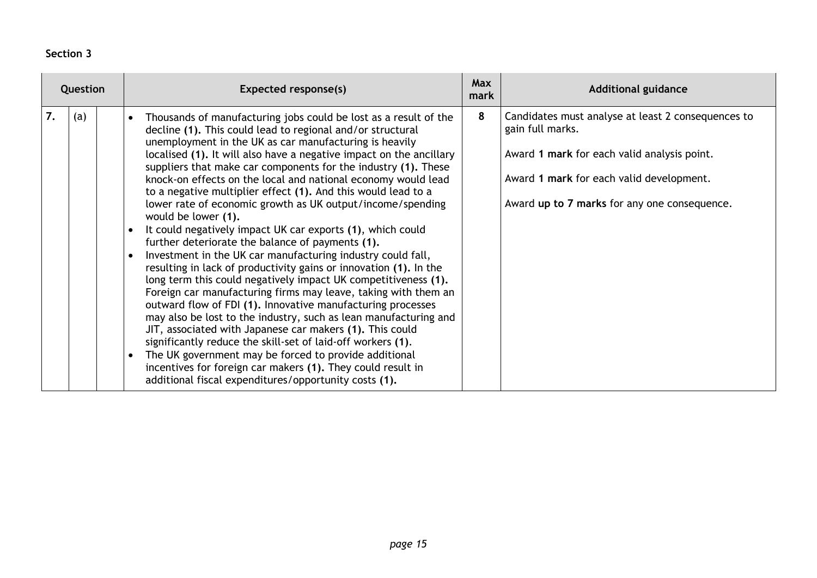### **Section 3**

| Question  | <b>Expected response(s)</b>                                                                                                                                                                                                                                                                                                                                                                                                                                                                                                                                                                                                                                                                                                                                                                                                                                                                                                                                                                                                                                                                                                                                                                                                                                                                                                                                                                       | <b>Max</b><br>mark | <b>Additional guidance</b>                                                                                                                                                                                        |
|-----------|---------------------------------------------------------------------------------------------------------------------------------------------------------------------------------------------------------------------------------------------------------------------------------------------------------------------------------------------------------------------------------------------------------------------------------------------------------------------------------------------------------------------------------------------------------------------------------------------------------------------------------------------------------------------------------------------------------------------------------------------------------------------------------------------------------------------------------------------------------------------------------------------------------------------------------------------------------------------------------------------------------------------------------------------------------------------------------------------------------------------------------------------------------------------------------------------------------------------------------------------------------------------------------------------------------------------------------------------------------------------------------------------------|--------------------|-------------------------------------------------------------------------------------------------------------------------------------------------------------------------------------------------------------------|
| 7.<br>(a) | Thousands of manufacturing jobs could be lost as a result of the<br>decline (1). This could lead to regional and/or structural<br>unemployment in the UK as car manufacturing is heavily<br>localised (1). It will also have a negative impact on the ancillary<br>suppliers that make car components for the industry (1). These<br>knock-on effects on the local and national economy would lead<br>to a negative multiplier effect (1). And this would lead to a<br>lower rate of economic growth as UK output/income/spending<br>would be lower (1).<br>It could negatively impact UK car exports (1), which could<br>further deteriorate the balance of payments (1).<br>Investment in the UK car manufacturing industry could fall,<br>resulting in lack of productivity gains or innovation (1). In the<br>long term this could negatively impact UK competitiveness (1).<br>Foreign car manufacturing firms may leave, taking with them an<br>outward flow of FDI (1). Innovative manufacturing processes<br>may also be lost to the industry, such as lean manufacturing and<br>JIT, associated with Japanese car makers (1). This could<br>significantly reduce the skill-set of laid-off workers (1).<br>The UK government may be forced to provide additional<br>incentives for foreign car makers (1). They could result in<br>additional fiscal expenditures/opportunity costs (1). | 8                  | Candidates must analyse at least 2 consequences to<br>gain full marks.<br>Award 1 mark for each valid analysis point.<br>Award 1 mark for each valid development.<br>Award up to 7 marks for any one consequence. |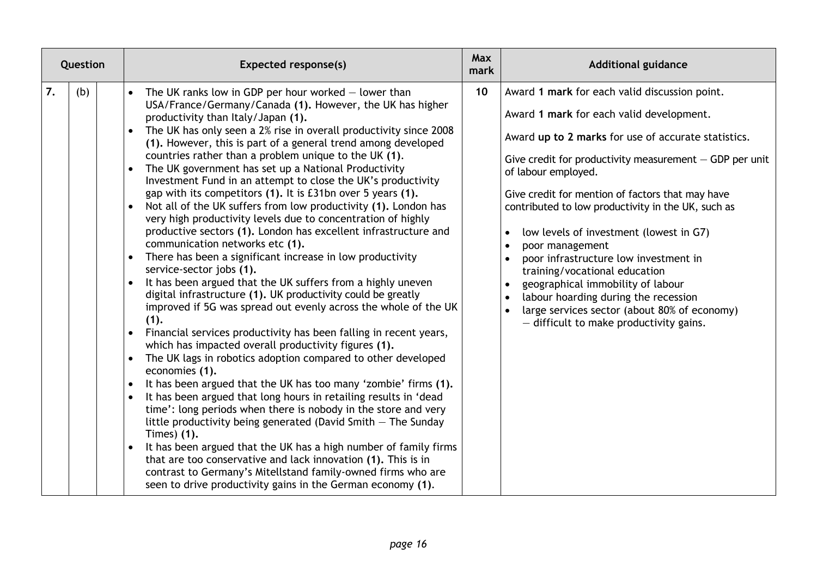| Question  | <b>Expected response(s)</b>                                                                                                                                                                                                                                                                                                                                                                                                                                                                                                                                                                                                                                                                                                                                                                                                                                                                                                                                                                                                                                                                                                                                                                                                                                                                                                                                                                                                                                                                                                                                                                                                                                                                                                                                                                                                                                                                                                                             | <b>Max</b><br>mark | <b>Additional guidance</b>                                                                                                                                                                                                                                                                                                                                                                                                                                                                                                                                                                                                                                                                 |
|-----------|---------------------------------------------------------------------------------------------------------------------------------------------------------------------------------------------------------------------------------------------------------------------------------------------------------------------------------------------------------------------------------------------------------------------------------------------------------------------------------------------------------------------------------------------------------------------------------------------------------------------------------------------------------------------------------------------------------------------------------------------------------------------------------------------------------------------------------------------------------------------------------------------------------------------------------------------------------------------------------------------------------------------------------------------------------------------------------------------------------------------------------------------------------------------------------------------------------------------------------------------------------------------------------------------------------------------------------------------------------------------------------------------------------------------------------------------------------------------------------------------------------------------------------------------------------------------------------------------------------------------------------------------------------------------------------------------------------------------------------------------------------------------------------------------------------------------------------------------------------------------------------------------------------------------------------------------------------|--------------------|--------------------------------------------------------------------------------------------------------------------------------------------------------------------------------------------------------------------------------------------------------------------------------------------------------------------------------------------------------------------------------------------------------------------------------------------------------------------------------------------------------------------------------------------------------------------------------------------------------------------------------------------------------------------------------------------|
| 7.<br>(b) | The UK ranks low in GDP per hour worked $-$ lower than<br>$\bullet$<br>USA/France/Germany/Canada (1). However, the UK has higher<br>productivity than Italy/Japan (1).<br>The UK has only seen a 2% rise in overall productivity since 2008<br>(1). However, this is part of a general trend among developed<br>countries rather than a problem unique to the UK (1).<br>The UK government has set up a National Productivity<br>Investment Fund in an attempt to close the UK's productivity<br>gap with its competitors (1). It is £31bn over 5 years (1).<br>Not all of the UK suffers from low productivity (1). London has<br>$\bullet$<br>very high productivity levels due to concentration of highly<br>productive sectors (1). London has excellent infrastructure and<br>communication networks etc (1).<br>There has been a significant increase in low productivity<br>service-sector jobs (1).<br>It has been argued that the UK suffers from a highly uneven<br>digital infrastructure (1). UK productivity could be greatly<br>improved if 5G was spread out evenly across the whole of the UK<br>(1).<br>Financial services productivity has been falling in recent years,<br>$\bullet$<br>which has impacted overall productivity figures (1).<br>The UK lags in robotics adoption compared to other developed<br>$\bullet$<br>economies (1).<br>It has been argued that the UK has too many 'zombie' firms (1).<br>$\bullet$<br>It has been argued that long hours in retailing results in 'dead<br>time': long periods when there is nobody in the store and very<br>little productivity being generated (David Smith $-$ The Sunday<br>Times) (1).<br>It has been argued that the UK has a high number of family firms<br>$\bullet$<br>that are too conservative and lack innovation (1). This is in<br>contrast to Germany's Mitellstand family-owned firms who are<br>seen to drive productivity gains in the German economy (1). | 10 <sup>°</sup>    | Award 1 mark for each valid discussion point.<br>Award 1 mark for each valid development.<br>Award up to 2 marks for use of accurate statistics.<br>Give credit for productivity measurement $-$ GDP per unit<br>of labour employed.<br>Give credit for mention of factors that may have<br>contributed to low productivity in the UK, such as<br>low levels of investment (lowest in G7)<br>$\bullet$<br>poor management<br>poor infrastructure low investment in<br>training/vocational education<br>geographical immobility of labour<br>labour hoarding during the recession<br>$\bullet$<br>large services sector (about 80% of economy)<br>$-$ difficult to make productivity gains. |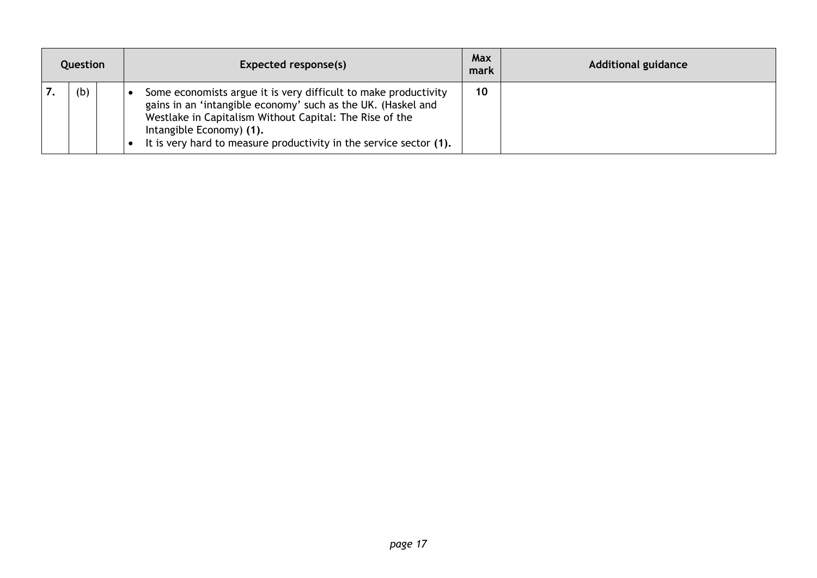| Question |  | Expected response(s)                                                                                                                                                                                                                                                                         | <b>Max</b><br>mark | <b>Additional guidance</b> |
|----------|--|----------------------------------------------------------------------------------------------------------------------------------------------------------------------------------------------------------------------------------------------------------------------------------------------|--------------------|----------------------------|
| (b)      |  | Some economists argue it is very difficult to make productivity<br>gains in an 'intangible economy' such as the UK. (Haskel and<br>Westlake in Capitalism Without Capital: The Rise of the<br>Intangible Economy) (1).<br>It is very hard to measure productivity in the service sector (1). | 10                 |                            |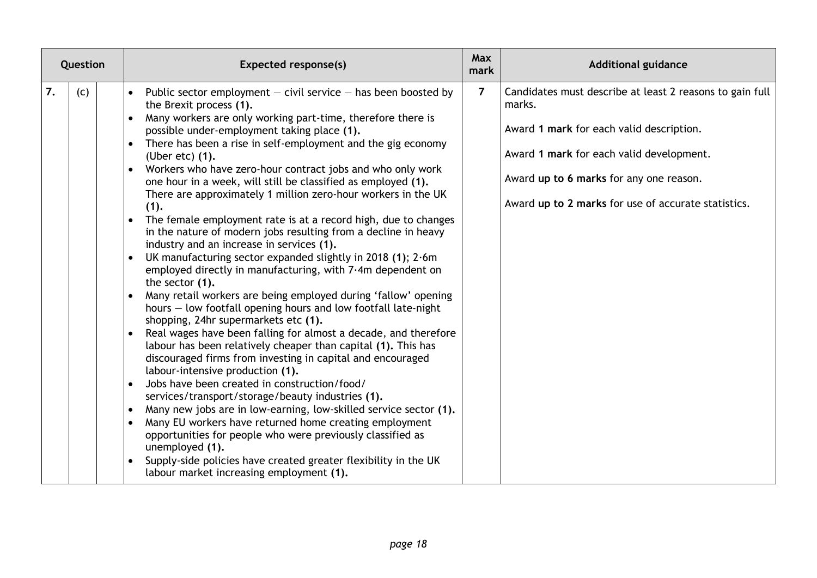| Question  | <b>Expected response(s)</b>                                                                                                                                                                                                                                                                                                                                                                                                                                                                                                                                                                                                                                                                                                                                                                                                                                                                                                                                                                                                                                                                                                                                                                                                                                                                                                                                                                                                                                                                                                                                                                                                                                                                                                          | Max<br>mark    | <b>Additional guidance</b>                                                                                                                                                                                                                                   |
|-----------|--------------------------------------------------------------------------------------------------------------------------------------------------------------------------------------------------------------------------------------------------------------------------------------------------------------------------------------------------------------------------------------------------------------------------------------------------------------------------------------------------------------------------------------------------------------------------------------------------------------------------------------------------------------------------------------------------------------------------------------------------------------------------------------------------------------------------------------------------------------------------------------------------------------------------------------------------------------------------------------------------------------------------------------------------------------------------------------------------------------------------------------------------------------------------------------------------------------------------------------------------------------------------------------------------------------------------------------------------------------------------------------------------------------------------------------------------------------------------------------------------------------------------------------------------------------------------------------------------------------------------------------------------------------------------------------------------------------------------------------|----------------|--------------------------------------------------------------------------------------------------------------------------------------------------------------------------------------------------------------------------------------------------------------|
| 7.<br>(C) | Public sector employment $-$ civil service $-$ has been boosted by<br>the Brexit process (1).<br>Many workers are only working part-time, therefore there is<br>possible under-employment taking place (1).<br>There has been a rise in self-employment and the gig economy<br>$\bullet$<br>(Uber etc) (1).<br>Workers who have zero-hour contract jobs and who only work<br>one hour in a week, will still be classified as employed (1).<br>There are approximately 1 million zero-hour workers in the UK<br>(1).<br>The female employment rate is at a record high, due to changes<br>$\bullet$<br>in the nature of modern jobs resulting from a decline in heavy<br>industry and an increase in services (1).<br>UK manufacturing sector expanded slightly in 2018 (1); 2.6m<br>employed directly in manufacturing, with 7.4m dependent on<br>the sector (1).<br>Many retail workers are being employed during 'fallow' opening<br>hours - low footfall opening hours and low footfall late-night<br>shopping, 24hr supermarkets etc (1).<br>Real wages have been falling for almost a decade, and therefore<br>labour has been relatively cheaper than capital (1). This has<br>discouraged firms from investing in capital and encouraged<br>labour-intensive production (1).<br>Jobs have been created in construction/food/<br>services/transport/storage/beauty industries (1).<br>Many new jobs are in low-earning, low-skilled service sector (1).<br>Many EU workers have returned home creating employment<br>opportunities for people who were previously classified as<br>unemployed (1).<br>Supply-side policies have created greater flexibility in the UK<br>$\bullet$<br>labour market increasing employment (1). | $\overline{7}$ | Candidates must describe at least 2 reasons to gain full<br>marks.<br>Award 1 mark for each valid description.<br>Award 1 mark for each valid development.<br>Award up to 6 marks for any one reason.<br>Award up to 2 marks for use of accurate statistics. |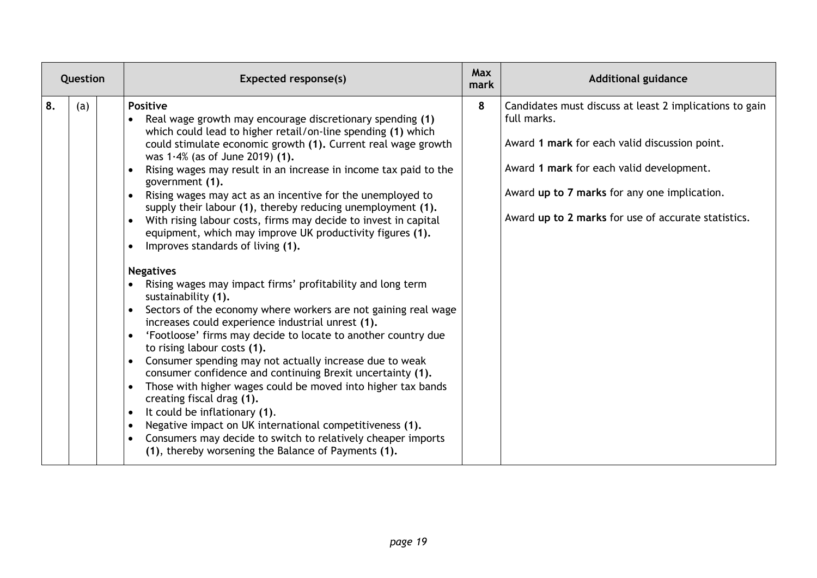| Question  | <b>Expected response(s)</b>                                                                                                                                                                                                                                                                                                                                                                                                                                                                                                                                                                                                                                                                                                                                                                                                                                                                                                                                                                                                                                                                                                                                                                                                                                                                                                                                                                                            | <b>Max</b><br>mark | <b>Additional guidance</b>                                                                                                                                                                                                                                                 |
|-----------|------------------------------------------------------------------------------------------------------------------------------------------------------------------------------------------------------------------------------------------------------------------------------------------------------------------------------------------------------------------------------------------------------------------------------------------------------------------------------------------------------------------------------------------------------------------------------------------------------------------------------------------------------------------------------------------------------------------------------------------------------------------------------------------------------------------------------------------------------------------------------------------------------------------------------------------------------------------------------------------------------------------------------------------------------------------------------------------------------------------------------------------------------------------------------------------------------------------------------------------------------------------------------------------------------------------------------------------------------------------------------------------------------------------------|--------------------|----------------------------------------------------------------------------------------------------------------------------------------------------------------------------------------------------------------------------------------------------------------------------|
| 8.<br>(a) | <b>Positive</b><br>Real wage growth may encourage discretionary spending (1)<br>which could lead to higher retail/on-line spending (1) which<br>could stimulate economic growth (1). Current real wage growth<br>was $1.4\%$ (as of June 2019) (1).<br>Rising wages may result in an increase in income tax paid to the<br>government (1).<br>Rising wages may act as an incentive for the unemployed to<br>supply their labour (1), thereby reducing unemployment (1).<br>With rising labour costs, firms may decide to invest in capital<br>equipment, which may improve UK productivity figures (1).<br>Improves standards of living (1).<br><b>Negatives</b><br>Rising wages may impact firms' profitability and long term<br>sustainability (1).<br>Sectors of the economy where workers are not gaining real wage<br>increases could experience industrial unrest (1).<br>'Footloose' firms may decide to locate to another country due<br>to rising labour costs (1).<br>Consumer spending may not actually increase due to weak<br>consumer confidence and continuing Brexit uncertainty (1).<br>Those with higher wages could be moved into higher tax bands<br>creating fiscal drag (1).<br>It could be inflationary (1).<br>Negative impact on UK international competitiveness (1).<br>Consumers may decide to switch to relatively cheaper imports<br>(1), thereby worsening the Balance of Payments (1). | 8                  | Candidates must discuss at least 2 implications to gain<br>full marks.<br>Award 1 mark for each valid discussion point.<br>Award 1 mark for each valid development.<br>Award up to 7 marks for any one implication.<br>Award up to 2 marks for use of accurate statistics. |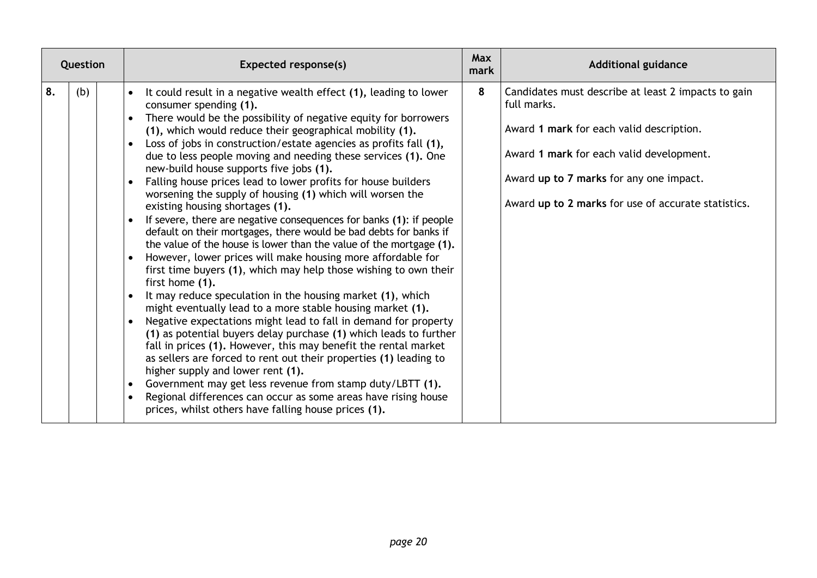| Question  | Expected response(s)                                                                                                                                                                                                                                                                                                                                                                                                                                                                                                                                                                                                                                                                                                                                                                                                                                                                                                                                                                                                                                                                                                                                                                                                                                                                                                                                                                                                                                                                                                                                                                                       | <b>Max</b><br>mark | <b>Additional guidance</b>                                                                                                                                                                                                                                   |
|-----------|------------------------------------------------------------------------------------------------------------------------------------------------------------------------------------------------------------------------------------------------------------------------------------------------------------------------------------------------------------------------------------------------------------------------------------------------------------------------------------------------------------------------------------------------------------------------------------------------------------------------------------------------------------------------------------------------------------------------------------------------------------------------------------------------------------------------------------------------------------------------------------------------------------------------------------------------------------------------------------------------------------------------------------------------------------------------------------------------------------------------------------------------------------------------------------------------------------------------------------------------------------------------------------------------------------------------------------------------------------------------------------------------------------------------------------------------------------------------------------------------------------------------------------------------------------------------------------------------------------|--------------------|--------------------------------------------------------------------------------------------------------------------------------------------------------------------------------------------------------------------------------------------------------------|
| 8.<br>(b) | It could result in a negative wealth effect (1), leading to lower<br>consumer spending (1).<br>There would be the possibility of negative equity for borrowers<br>(1), which would reduce their geographical mobility (1).<br>Loss of jobs in construction/estate agencies as profits fall (1),<br>due to less people moving and needing these services (1). One<br>new-build house supports five jobs (1).<br>Falling house prices lead to lower profits for house builders<br>worsening the supply of housing (1) which will worsen the<br>existing housing shortages (1).<br>If severe, there are negative consequences for banks (1): if people<br>default on their mortgages, there would be bad debts for banks if<br>the value of the house is lower than the value of the mortgage (1).<br>However, lower prices will make housing more affordable for<br>first time buyers (1), which may help those wishing to own their<br>first home (1).<br>It may reduce speculation in the housing market (1), which<br>might eventually lead to a more stable housing market (1).<br>Negative expectations might lead to fall in demand for property<br>(1) as potential buyers delay purchase (1) which leads to further<br>fall in prices (1). However, this may benefit the rental market<br>as sellers are forced to rent out their properties (1) leading to<br>higher supply and lower rent (1).<br>Government may get less revenue from stamp duty/LBTT (1).<br>$\bullet$<br>Regional differences can occur as some areas have rising house<br>prices, whilst others have falling house prices (1). | 8                  | Candidates must describe at least 2 impacts to gain<br>full marks.<br>Award 1 mark for each valid description.<br>Award 1 mark for each valid development.<br>Award up to 7 marks for any one impact.<br>Award up to 2 marks for use of accurate statistics. |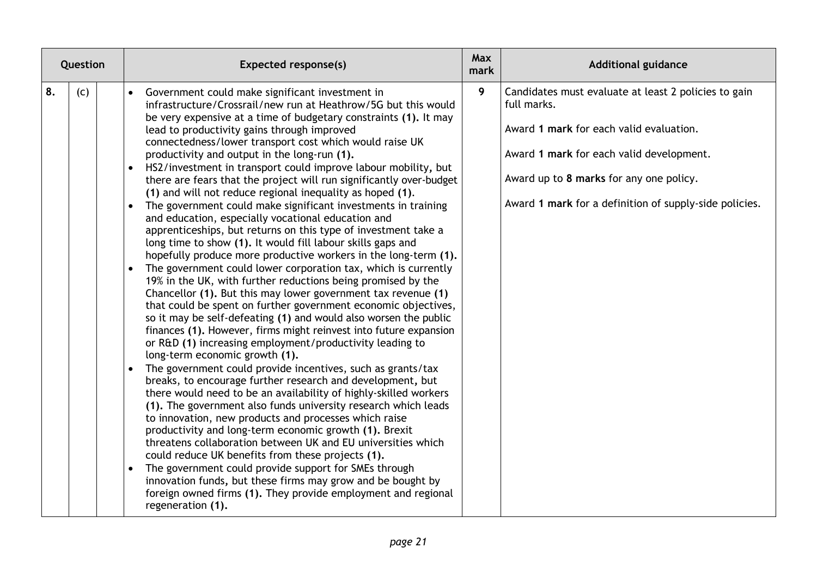| Question  | <b>Expected response(s)</b>                                                                                                                                                                                                                                                                                                                                                                                                                                                                                                                                                                                                                                                                                                                                                                                                                                                                                                                                                                                                                                                                                                                                                                                                                                                                                                                                                                                                                                                                                                                                                                                                                                                                                                                                                                                                                                                                                                                                                                                                                                                                                                                                  | <b>Max</b><br>mark | <b>Additional guidance</b>                                                                                                                                                                                                                                      |
|-----------|--------------------------------------------------------------------------------------------------------------------------------------------------------------------------------------------------------------------------------------------------------------------------------------------------------------------------------------------------------------------------------------------------------------------------------------------------------------------------------------------------------------------------------------------------------------------------------------------------------------------------------------------------------------------------------------------------------------------------------------------------------------------------------------------------------------------------------------------------------------------------------------------------------------------------------------------------------------------------------------------------------------------------------------------------------------------------------------------------------------------------------------------------------------------------------------------------------------------------------------------------------------------------------------------------------------------------------------------------------------------------------------------------------------------------------------------------------------------------------------------------------------------------------------------------------------------------------------------------------------------------------------------------------------------------------------------------------------------------------------------------------------------------------------------------------------------------------------------------------------------------------------------------------------------------------------------------------------------------------------------------------------------------------------------------------------------------------------------------------------------------------------------------------------|--------------------|-----------------------------------------------------------------------------------------------------------------------------------------------------------------------------------------------------------------------------------------------------------------|
| 8.<br>(c) | Government could make significant investment in<br>infrastructure/Crossrail/new run at Heathrow/5G but this would<br>be very expensive at a time of budgetary constraints (1). It may<br>lead to productivity gains through improved<br>connectedness/lower transport cost which would raise UK<br>productivity and output in the long-run (1).<br>HS2/investment in transport could improve labour mobility, but<br>$\bullet$<br>there are fears that the project will run significantly over-budget<br>(1) and will not reduce regional inequality as hoped (1).<br>The government could make significant investments in training<br>$\bullet$<br>and education, especially vocational education and<br>apprenticeships, but returns on this type of investment take a<br>long time to show (1). It would fill labour skills gaps and<br>hopefully produce more productive workers in the long-term (1).<br>The government could lower corporation tax, which is currently<br>$\bullet$<br>19% in the UK, with further reductions being promised by the<br>Chancellor (1). But this may lower government tax revenue (1)<br>that could be spent on further government economic objectives,<br>so it may be self-defeating (1) and would also worsen the public<br>finances (1). However, firms might reinvest into future expansion<br>or R&D (1) increasing employment/productivity leading to<br>long-term economic growth (1).<br>The government could provide incentives, such as grants/tax<br>breaks, to encourage further research and development, but<br>there would need to be an availability of highly-skilled workers<br>(1). The government also funds university research which leads<br>to innovation, new products and processes which raise<br>productivity and long-term economic growth (1). Brexit<br>threatens collaboration between UK and EU universities which<br>could reduce UK benefits from these projects (1).<br>The government could provide support for SMEs through<br>innovation funds, but these firms may grow and be bought by<br>foreign owned firms (1). They provide employment and regional<br>regeneration (1). | $\overline{9}$     | Candidates must evaluate at least 2 policies to gain<br>full marks.<br>Award 1 mark for each valid evaluation.<br>Award 1 mark for each valid development.<br>Award up to 8 marks for any one policy.<br>Award 1 mark for a definition of supply-side policies. |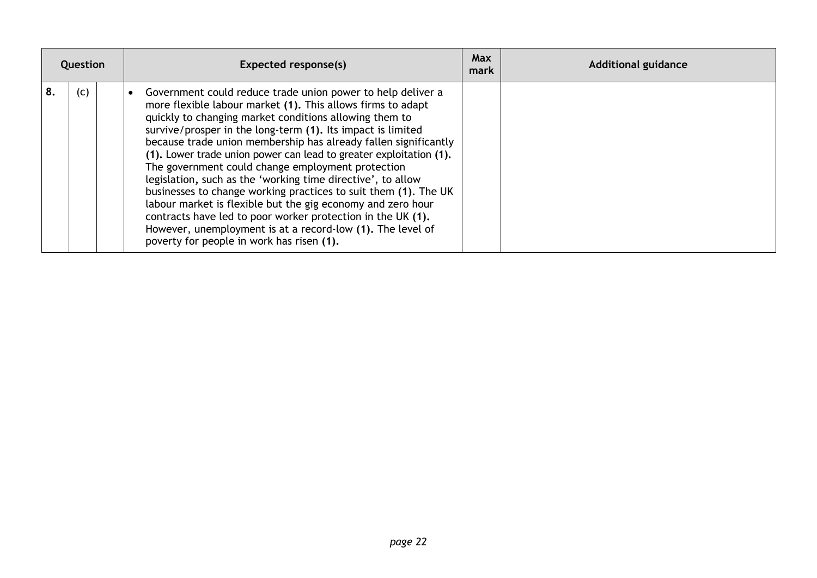| Question  | Expected response(s)                                                                                                                                                                                                                                                                                                                                                                                                                                                                                                                                                                                                                                                                                                                                                                                                         | Max<br>mark | <b>Additional guidance</b> |
|-----------|------------------------------------------------------------------------------------------------------------------------------------------------------------------------------------------------------------------------------------------------------------------------------------------------------------------------------------------------------------------------------------------------------------------------------------------------------------------------------------------------------------------------------------------------------------------------------------------------------------------------------------------------------------------------------------------------------------------------------------------------------------------------------------------------------------------------------|-------------|----------------------------|
| (c)<br>8. | Government could reduce trade union power to help deliver a<br>more flexible labour market (1). This allows firms to adapt<br>quickly to changing market conditions allowing them to<br>survive/prosper in the long-term (1). Its impact is limited<br>because trade union membership has already fallen significantly<br>(1). Lower trade union power can lead to greater exploitation (1).<br>The government could change employment protection<br>legislation, such as the 'working time directive', to allow<br>businesses to change working practices to suit them (1). The UK<br>labour market is flexible but the gig economy and zero hour<br>contracts have led to poor worker protection in the UK (1).<br>However, unemployment is at a record-low (1). The level of<br>poverty for people in work has risen (1). |             |                            |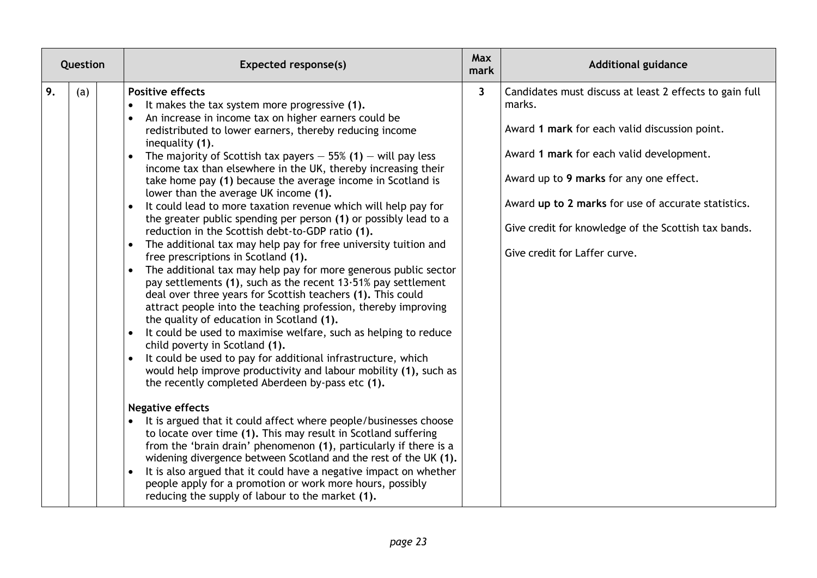| Question  | <b>Expected response(s)</b>                                                                                                                                                                                                                                                                                                                                                                                                                                                                                                                                                                                                                                                                                                                                                                                                                                                                                                                                                                                                                                                                                                                                                                                                                                                                                                                                                                                                                                                                                                                                                                                                                                                                                                                                                                                                                                                                                                                                                                            | <b>Max</b><br>mark | <b>Additional guidance</b>                                                                                                                                                                                                                                                                                                                                |
|-----------|--------------------------------------------------------------------------------------------------------------------------------------------------------------------------------------------------------------------------------------------------------------------------------------------------------------------------------------------------------------------------------------------------------------------------------------------------------------------------------------------------------------------------------------------------------------------------------------------------------------------------------------------------------------------------------------------------------------------------------------------------------------------------------------------------------------------------------------------------------------------------------------------------------------------------------------------------------------------------------------------------------------------------------------------------------------------------------------------------------------------------------------------------------------------------------------------------------------------------------------------------------------------------------------------------------------------------------------------------------------------------------------------------------------------------------------------------------------------------------------------------------------------------------------------------------------------------------------------------------------------------------------------------------------------------------------------------------------------------------------------------------------------------------------------------------------------------------------------------------------------------------------------------------------------------------------------------------------------------------------------------------|--------------------|-----------------------------------------------------------------------------------------------------------------------------------------------------------------------------------------------------------------------------------------------------------------------------------------------------------------------------------------------------------|
| 9.<br>(a) | <b>Positive effects</b><br>It makes the tax system more progressive (1).<br>An increase in income tax on higher earners could be<br>$\bullet$<br>redistributed to lower earners, thereby reducing income<br>inequality (1).<br>The majority of Scottish tax payers $-55%$ (1) $-$ will pay less<br>$\bullet$<br>income tax than elsewhere in the UK, thereby increasing their<br>take home pay (1) because the average income in Scotland is<br>lower than the average UK income (1).<br>It could lead to more taxation revenue which will help pay for<br>$\bullet$<br>the greater public spending per person (1) or possibly lead to a<br>reduction in the Scottish debt-to-GDP ratio (1).<br>The additional tax may help pay for free university tuition and<br>$\bullet$<br>free prescriptions in Scotland (1).<br>The additional tax may help pay for more generous public sector<br>$\bullet$<br>pay settlements (1), such as the recent $13.51\%$ pay settlement<br>deal over three years for Scottish teachers (1). This could<br>attract people into the teaching profession, thereby improving<br>the quality of education in Scotland (1).<br>It could be used to maximise welfare, such as helping to reduce<br>$\bullet$<br>child poverty in Scotland (1).<br>It could be used to pay for additional infrastructure, which<br>$\bullet$<br>would help improve productivity and labour mobility (1), such as<br>the recently completed Aberdeen by-pass etc (1).<br><b>Negative effects</b><br>It is argued that it could affect where people/businesses choose<br>$\bullet$<br>to locate over time (1). This may result in Scotland suffering<br>from the 'brain drain' phenomenon (1), particularly if there is a<br>widening divergence between Scotland and the rest of the UK (1).<br>It is also argued that it could have a negative impact on whether<br>$\bullet$<br>people apply for a promotion or work more hours, possibly<br>reducing the supply of labour to the market (1). | $\mathbf{3}$       | Candidates must discuss at least 2 effects to gain full<br>marks.<br>Award 1 mark for each valid discussion point.<br>Award 1 mark for each valid development.<br>Award up to 9 marks for any one effect.<br>Award up to 2 marks for use of accurate statistics.<br>Give credit for knowledge of the Scottish tax bands.<br>Give credit for Laffer curve. |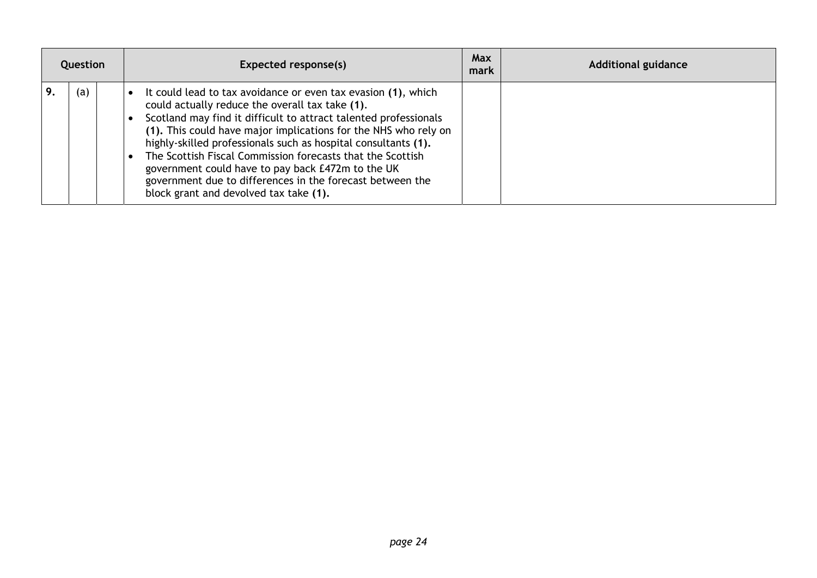| Question |     | Expected response(s)                                                                                                                                                                                                                                                                                                                                                                                                                                                                                                                                | Max<br>mark | <b>Additional guidance</b> |
|----------|-----|-----------------------------------------------------------------------------------------------------------------------------------------------------------------------------------------------------------------------------------------------------------------------------------------------------------------------------------------------------------------------------------------------------------------------------------------------------------------------------------------------------------------------------------------------------|-------------|----------------------------|
|          | (a) | It could lead to tax avoidance or even tax evasion (1), which<br>could actually reduce the overall tax take (1).<br>Scotland may find it difficult to attract talented professionals<br>(1). This could have major implications for the NHS who rely on<br>highly-skilled professionals such as hospital consultants (1).<br>The Scottish Fiscal Commission forecasts that the Scottish<br>government could have to pay back £472m to the UK<br>government due to differences in the forecast between the<br>block grant and devolved tax take (1). |             |                            |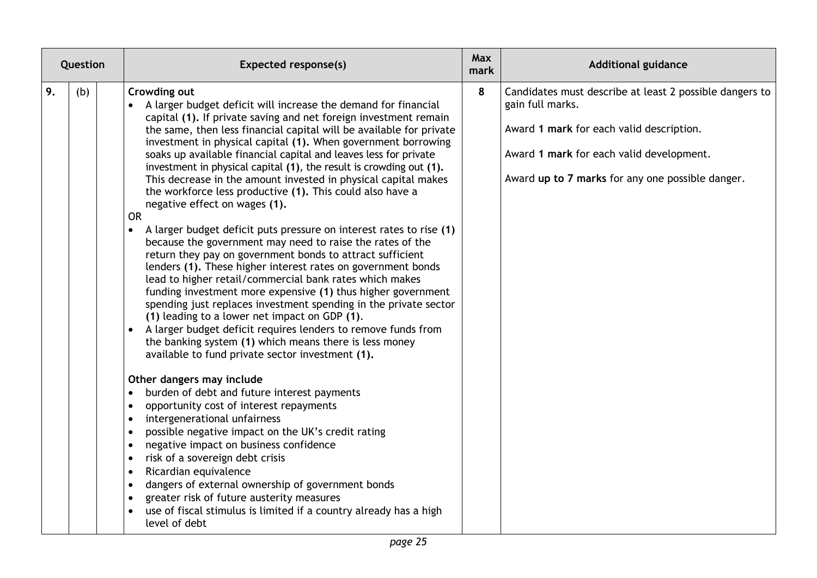| Question  | <b>Expected response(s)</b>                                                                                                                                                                                                                                                                                                                                                                                                                                                                                                                                                                                                                                                                                                                                                                                                                                                                                                                                                                                                                                                                                                                                                                                                                                                                                                                                                                                                                                                                                                                                                                                                                                                                                                                                                                                                                                                                                                                        | Max<br>mark | <b>Additional guidance</b>                                                                                                                                                                                              |
|-----------|----------------------------------------------------------------------------------------------------------------------------------------------------------------------------------------------------------------------------------------------------------------------------------------------------------------------------------------------------------------------------------------------------------------------------------------------------------------------------------------------------------------------------------------------------------------------------------------------------------------------------------------------------------------------------------------------------------------------------------------------------------------------------------------------------------------------------------------------------------------------------------------------------------------------------------------------------------------------------------------------------------------------------------------------------------------------------------------------------------------------------------------------------------------------------------------------------------------------------------------------------------------------------------------------------------------------------------------------------------------------------------------------------------------------------------------------------------------------------------------------------------------------------------------------------------------------------------------------------------------------------------------------------------------------------------------------------------------------------------------------------------------------------------------------------------------------------------------------------------------------------------------------------------------------------------------------------|-------------|-------------------------------------------------------------------------------------------------------------------------------------------------------------------------------------------------------------------------|
| 9.<br>(b) | Crowding out<br>A larger budget deficit will increase the demand for financial<br>capital (1). If private saving and net foreign investment remain<br>the same, then less financial capital will be available for private<br>investment in physical capital (1). When government borrowing<br>soaks up available financial capital and leaves less for private<br>investment in physical capital (1), the result is crowding out (1).<br>This decrease in the amount invested in physical capital makes<br>the workforce less productive (1). This could also have a<br>negative effect on wages (1).<br><b>OR</b><br>A larger budget deficit puts pressure on interest rates to rise (1)<br>because the government may need to raise the rates of the<br>return they pay on government bonds to attract sufficient<br>lenders (1). These higher interest rates on government bonds<br>lead to higher retail/commercial bank rates which makes<br>funding investment more expensive (1) thus higher government<br>spending just replaces investment spending in the private sector<br>(1) leading to a lower net impact on GDP (1).<br>A larger budget deficit requires lenders to remove funds from<br>$\bullet$<br>the banking system (1) which means there is less money<br>available to fund private sector investment (1).<br>Other dangers may include<br>burden of debt and future interest payments<br>$\bullet$<br>opportunity cost of interest repayments<br>$\bullet$<br>intergenerational unfairness<br>$\bullet$<br>possible negative impact on the UK's credit rating<br>$\bullet$<br>negative impact on business confidence<br>$\bullet$<br>risk of a sovereign debt crisis<br>$\bullet$<br>Ricardian equivalence<br>$\bullet$<br>dangers of external ownership of government bonds<br>$\bullet$<br>greater risk of future austerity measures<br>use of fiscal stimulus is limited if a country already has a high<br>level of debt | 8           | Candidates must describe at least 2 possible dangers to<br>gain full marks.<br>Award 1 mark for each valid description.<br>Award 1 mark for each valid development.<br>Award up to 7 marks for any one possible danger. |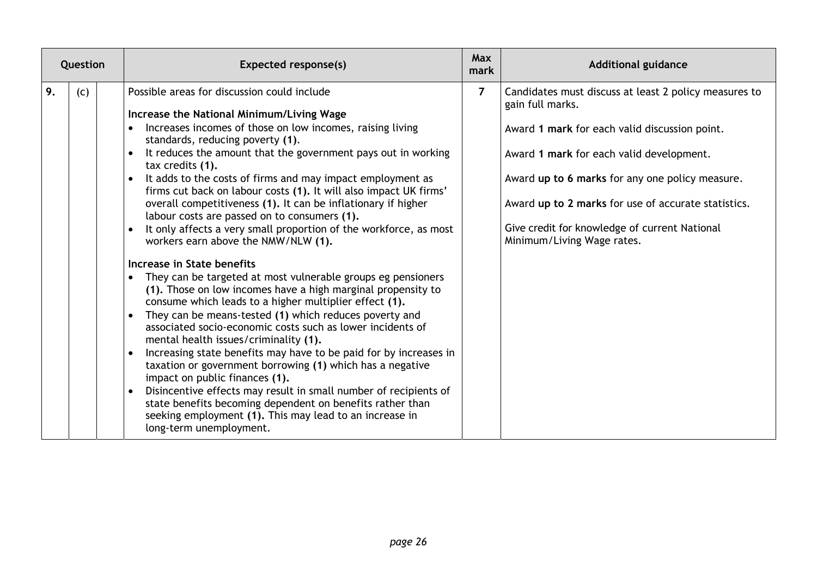| Question  | Expected response(s)                                                                                                                                                                                                                                                                                                                                                                                                                                                                                                                                                                                                                                                                                                                                                                                                                                                                                                                                                                                                                                                                                                                                                                                                                                                                                                                                                                                                                            | <b>Max</b><br>mark | <b>Additional guidance</b>                                                                                                                                                                                                                                                                                                                                      |
|-----------|-------------------------------------------------------------------------------------------------------------------------------------------------------------------------------------------------------------------------------------------------------------------------------------------------------------------------------------------------------------------------------------------------------------------------------------------------------------------------------------------------------------------------------------------------------------------------------------------------------------------------------------------------------------------------------------------------------------------------------------------------------------------------------------------------------------------------------------------------------------------------------------------------------------------------------------------------------------------------------------------------------------------------------------------------------------------------------------------------------------------------------------------------------------------------------------------------------------------------------------------------------------------------------------------------------------------------------------------------------------------------------------------------------------------------------------------------|--------------------|-----------------------------------------------------------------------------------------------------------------------------------------------------------------------------------------------------------------------------------------------------------------------------------------------------------------------------------------------------------------|
| 9.<br>(c) | Possible areas for discussion could include<br>Increase the National Minimum/Living Wage<br>Increases incomes of those on low incomes, raising living<br>standards, reducing poverty (1).<br>It reduces the amount that the government pays out in working<br>tax credits (1).<br>It adds to the costs of firms and may impact employment as<br>firms cut back on labour costs (1). It will also impact UK firms'<br>overall competitiveness (1). It can be inflationary if higher<br>labour costs are passed on to consumers (1).<br>It only affects a very small proportion of the workforce, as most<br>workers earn above the NMW/NLW (1).<br>Increase in State benefits<br>They can be targeted at most vulnerable groups eg pensioners<br>(1). Those on low incomes have a high marginal propensity to<br>consume which leads to a higher multiplier effect (1).<br>They can be means-tested (1) which reduces poverty and<br>associated socio-economic costs such as lower incidents of<br>mental health issues/criminality (1).<br>Increasing state benefits may have to be paid for by increases in<br>taxation or government borrowing (1) which has a negative<br>impact on public finances (1).<br>Disincentive effects may result in small number of recipients of<br>$\bullet$<br>state benefits becoming dependent on benefits rather than<br>seeking employment (1). This may lead to an increase in<br>long-term unemployment. | $\overline{7}$     | Candidates must discuss at least 2 policy measures to<br>gain full marks.<br>Award 1 mark for each valid discussion point.<br>Award 1 mark for each valid development.<br>Award up to 6 marks for any one policy measure.<br>Award up to 2 marks for use of accurate statistics.<br>Give credit for knowledge of current National<br>Minimum/Living Wage rates. |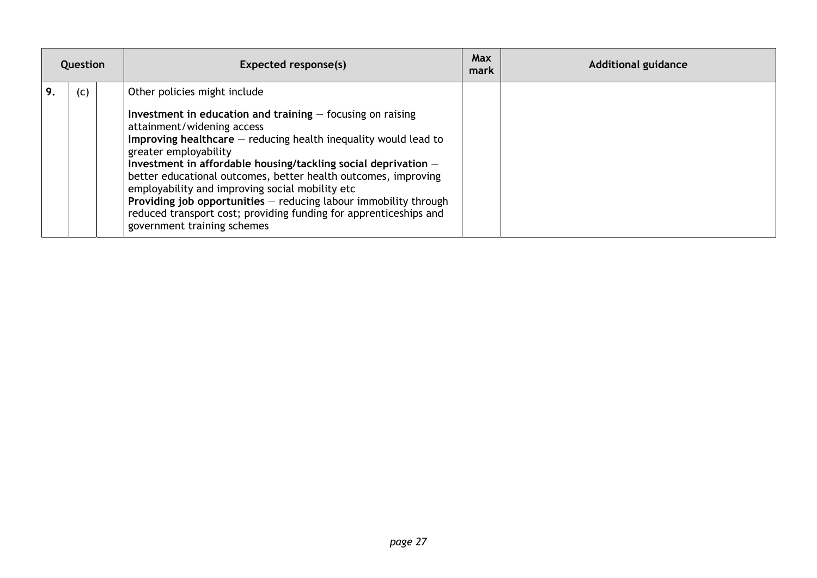| Question |     | Expected response(s)                                                                                                                                                                                                                                                                                                                                                                                                                                                                    | <b>Max</b><br>mark | <b>Additional guidance</b> |
|----------|-----|-----------------------------------------------------------------------------------------------------------------------------------------------------------------------------------------------------------------------------------------------------------------------------------------------------------------------------------------------------------------------------------------------------------------------------------------------------------------------------------------|--------------------|----------------------------|
|          | (c) | Other policies might include<br>Investment in education and training $-$ focusing on raising<br>attainment/widening access<br>Improving healthcare $-$ reducing health inequality would lead to<br>greater employability<br>Investment in affordable housing/tackling social deprivation $-$<br>better educational outcomes, better health outcomes, improving<br>employability and improving social mobility etc<br>Providing job opportunities $-$ reducing labour immobility through |                    |                            |
|          |     | reduced transport cost; providing funding for apprenticeships and<br>government training schemes                                                                                                                                                                                                                                                                                                                                                                                        |                    |                            |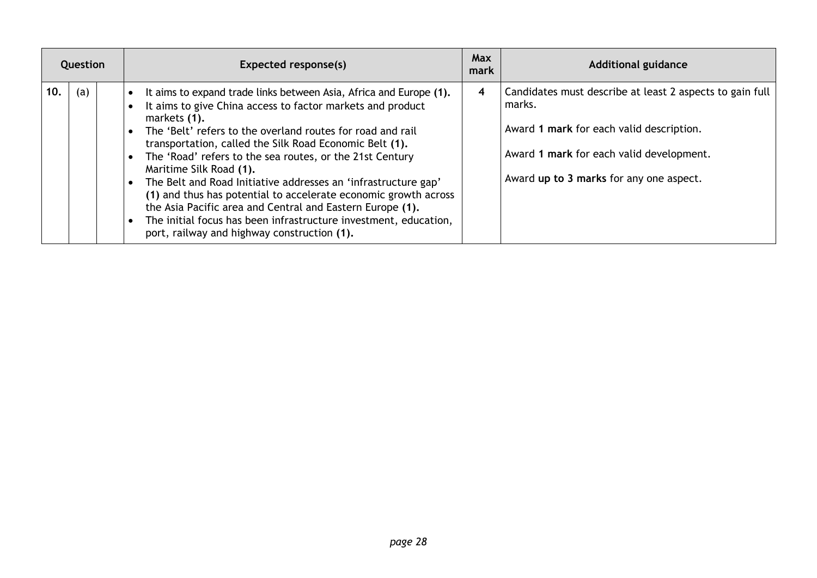| Question |     | Expected response(s)                                                                                                                                                                                                                                                                                                                                                                                                                                                                                                                                                                                                                                                                                            | Max<br>mark | <b>Additional guidance</b>                                                                                                                                                                            |
|----------|-----|-----------------------------------------------------------------------------------------------------------------------------------------------------------------------------------------------------------------------------------------------------------------------------------------------------------------------------------------------------------------------------------------------------------------------------------------------------------------------------------------------------------------------------------------------------------------------------------------------------------------------------------------------------------------------------------------------------------------|-------------|-------------------------------------------------------------------------------------------------------------------------------------------------------------------------------------------------------|
| 10.      | (a) | It aims to expand trade links between Asia, Africa and Europe (1).<br>It aims to give China access to factor markets and product<br>markets (1).<br>The 'Belt' refers to the overland routes for road and rail<br>transportation, called the Silk Road Economic Belt (1).<br>The 'Road' refers to the sea routes, or the 21st Century<br>$\bullet$<br>Maritime Silk Road (1).<br>The Belt and Road Initiative addresses an 'infrastructure gap'<br>$\bullet$<br>(1) and thus has potential to accelerate economic growth across<br>the Asia Pacific area and Central and Eastern Europe (1).<br>The initial focus has been infrastructure investment, education,<br>port, railway and highway construction (1). | 4           | Candidates must describe at least 2 aspects to gain full<br>marks.<br>Award 1 mark for each valid description.<br>Award 1 mark for each valid development.<br>Award up to 3 marks for any one aspect. |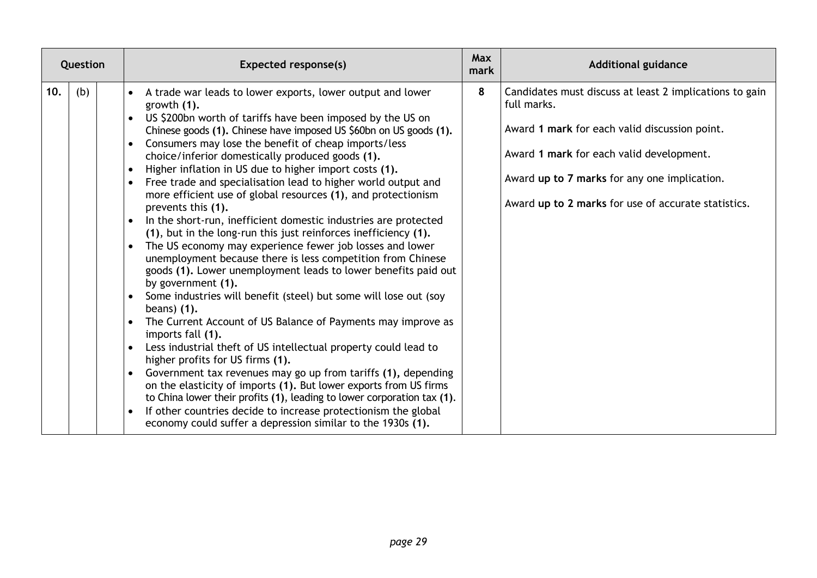| Question |     | Expected response(s)                                                                                                                                                                                                                                                                                                                                                                                                                                                                                                                                                                                                                                                                                                                                                                                                                                                                                                                                                                                                                                                                                                                                                                                                                                                                                                                                                                                                                                                                                                                     | <b>Max</b><br>mark | <b>Additional guidance</b>                                                                                                                                                                                                                                                 |
|----------|-----|------------------------------------------------------------------------------------------------------------------------------------------------------------------------------------------------------------------------------------------------------------------------------------------------------------------------------------------------------------------------------------------------------------------------------------------------------------------------------------------------------------------------------------------------------------------------------------------------------------------------------------------------------------------------------------------------------------------------------------------------------------------------------------------------------------------------------------------------------------------------------------------------------------------------------------------------------------------------------------------------------------------------------------------------------------------------------------------------------------------------------------------------------------------------------------------------------------------------------------------------------------------------------------------------------------------------------------------------------------------------------------------------------------------------------------------------------------------------------------------------------------------------------------------|--------------------|----------------------------------------------------------------------------------------------------------------------------------------------------------------------------------------------------------------------------------------------------------------------------|
| 10.      | (b) | A trade war leads to lower exports, lower output and lower<br>growth (1).<br>US \$200bn worth of tariffs have been imposed by the US on<br>Chinese goods (1). Chinese have imposed US \$60bn on US goods (1).<br>Consumers may lose the benefit of cheap imports/less<br>choice/inferior domestically produced goods (1).<br>Higher inflation in US due to higher import costs (1).<br>Free trade and specialisation lead to higher world output and<br>more efficient use of global resources (1), and protectionism<br>prevents this (1).<br>In the short-run, inefficient domestic industries are protected<br>(1), but in the long-run this just reinforces inefficiency (1).<br>The US economy may experience fewer job losses and lower<br>unemployment because there is less competition from Chinese<br>goods (1). Lower unemployment leads to lower benefits paid out<br>by government (1).<br>Some industries will benefit (steel) but some will lose out (soy<br>beans) $(1)$ .<br>The Current Account of US Balance of Payments may improve as<br>imports fall (1).<br>Less industrial theft of US intellectual property could lead to<br>higher profits for US firms (1).<br>Government tax revenues may go up from tariffs (1), depending<br>on the elasticity of imports (1). But lower exports from US firms<br>to China lower their profits (1), leading to lower corporation tax (1).<br>If other countries decide to increase protectionism the global<br>economy could suffer a depression similar to the 1930s (1). | 8                  | Candidates must discuss at least 2 implications to gain<br>full marks.<br>Award 1 mark for each valid discussion point.<br>Award 1 mark for each valid development.<br>Award up to 7 marks for any one implication.<br>Award up to 2 marks for use of accurate statistics. |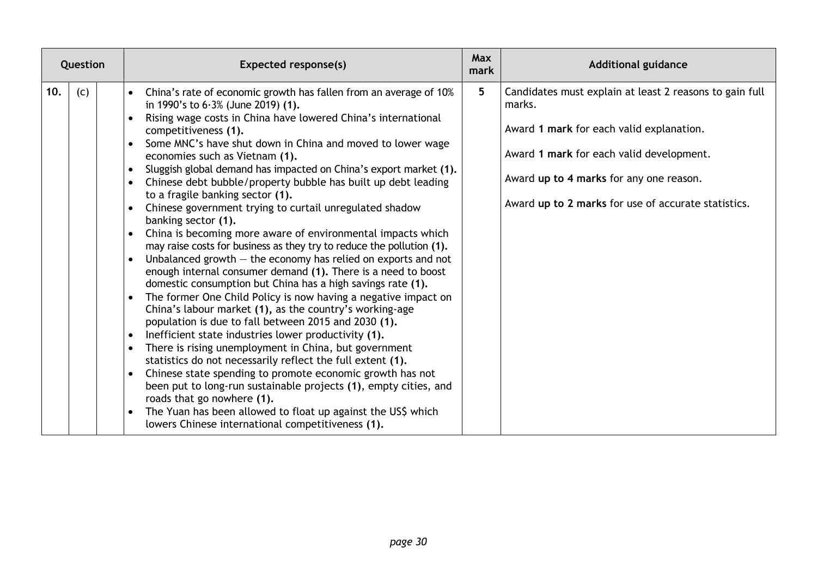| Question |     | Expected response(s)                                                                                                                                                                                                                                                                                                                                                                                                                                                                                                                                                                                                                                                                                                                                                                                                                                                                                                                                                                                                                                                                                                                                                                                                                                                                                                                                                                                                                                                                                                                                                                                                                             | <b>Max</b><br>mark | <b>Additional guidance</b>                                                                                                                                                                                                                                  |
|----------|-----|--------------------------------------------------------------------------------------------------------------------------------------------------------------------------------------------------------------------------------------------------------------------------------------------------------------------------------------------------------------------------------------------------------------------------------------------------------------------------------------------------------------------------------------------------------------------------------------------------------------------------------------------------------------------------------------------------------------------------------------------------------------------------------------------------------------------------------------------------------------------------------------------------------------------------------------------------------------------------------------------------------------------------------------------------------------------------------------------------------------------------------------------------------------------------------------------------------------------------------------------------------------------------------------------------------------------------------------------------------------------------------------------------------------------------------------------------------------------------------------------------------------------------------------------------------------------------------------------------------------------------------------------------|--------------------|-------------------------------------------------------------------------------------------------------------------------------------------------------------------------------------------------------------------------------------------------------------|
| 10.      | (c) | China's rate of economic growth has fallen from an average of 10%<br>$\bullet$<br>in 1990's to $6.3\%$ (June 2019) (1).<br>Rising wage costs in China have lowered China's international<br>$\bullet$<br>competitiveness (1).<br>Some MNC's have shut down in China and moved to lower wage<br>$\bullet$<br>economies such as Vietnam (1).<br>Sluggish global demand has impacted on China's export market (1).<br>$\bullet$<br>Chinese debt bubble/property bubble has built up debt leading<br>to a fragile banking sector (1).<br>Chinese government trying to curtail unregulated shadow<br>banking sector (1).<br>China is becoming more aware of environmental impacts which<br>may raise costs for business as they try to reduce the pollution (1).<br>Unbalanced growth $-$ the economy has relied on exports and not<br>enough internal consumer demand (1). There is a need to boost<br>domestic consumption but China has a high savings rate (1).<br>The former One Child Policy is now having a negative impact on<br>China's labour market (1), as the country's working-age<br>population is due to fall between 2015 and 2030 (1).<br>Inefficient state industries lower productivity (1).<br>$\bullet$<br>There is rising unemployment in China, but government<br>statistics do not necessarily reflect the full extent (1).<br>Chinese state spending to promote economic growth has not<br>been put to long-run sustainable projects (1), empty cities, and<br>roads that go nowhere (1).<br>The Yuan has been allowed to float up against the US\$ which<br>$\bullet$<br>lowers Chinese international competitiveness (1). | 5                  | Candidates must explain at least 2 reasons to gain full<br>marks.<br>Award 1 mark for each valid explanation.<br>Award 1 mark for each valid development.<br>Award up to 4 marks for any one reason.<br>Award up to 2 marks for use of accurate statistics. |